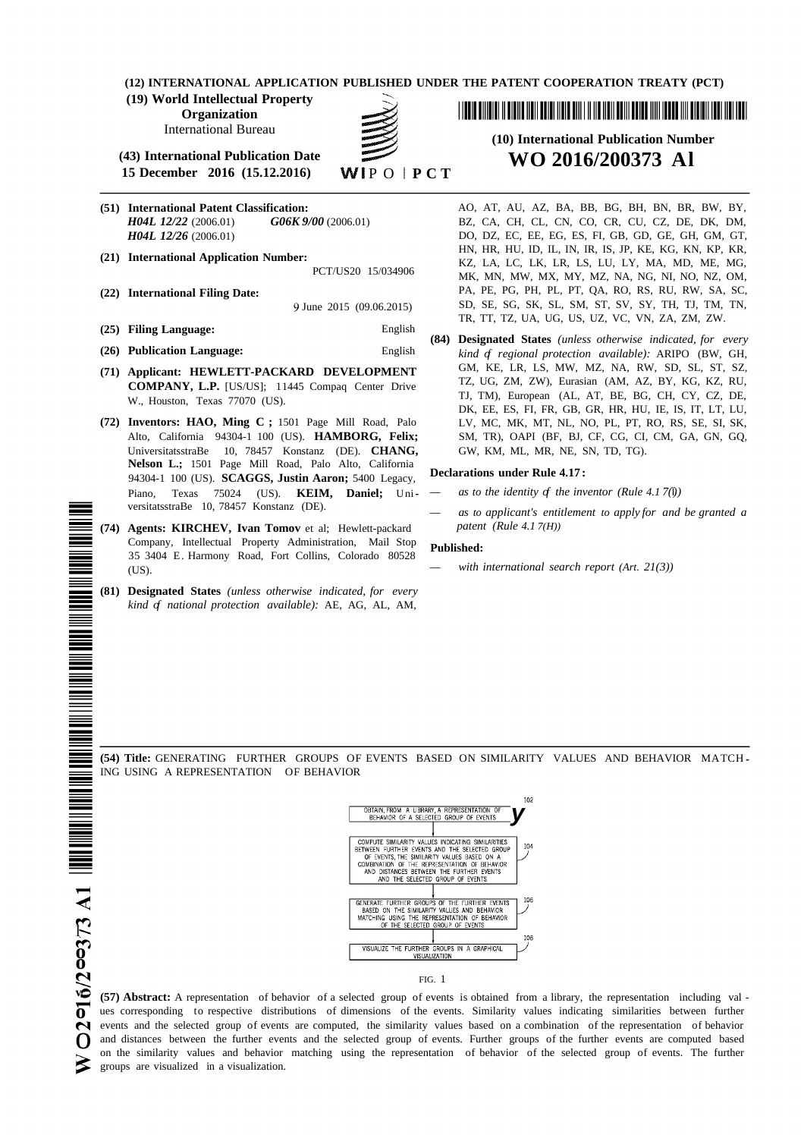**(12) INTERNATIONAL APPLICATION PUBLISHED UNDER THE PATENT COOPERATION TREATY (PCT)**

**(19) World Intellectual Property**

**Organization**

International Bureau

**(43) International Publication Date WO 2016/200373 Al 15 December 2016** (**15.12.2016**)

- 
- 

**(25) Filing Language:** English

- 
- 
- **COMPANY, L.P.** [US/US]; 11445 Compaq Center Drive
- UniversitatsstraBe 10, 78457 Konstanz (DE). **CHANG,** GW, KM, ML, MR, NE, SN, TD, TG). **Nelson L.;** 1501 Page Mill Road, Palo Alto, California 94304-1 100 (US). **SCAGGS, Justin Aaron;** 5400 Legacy, Piano, Texas 75024 (US). **KEIM, Daniel;** Uni-  $-\alpha s$  to the identity of the inventor (Rule 4.1 7(I)) versitatsstraBe 10, <sup>78457</sup> Konstanz (DE). *— as to applicant's entitlement to apply for and be granted a*
- **(74) Agents: KIRCHEV, Ivan Tomov** et al; Hewlett-packard *patent (Rule 4.1 7(H))* Company, Intellectual Property Administration, Mail Stop **Published:** 35 3404 E. Harmony Road, Fort Collins, Colorado 80528 (US). *— with international search report (Art. 21(3))*
- **(81) Designated States** *(unless otherwise indicated, for every kind of national protection available):* AE, AG, AL, AM,

<u> I III A BINDIN NGCUN NGCUNA NGCUNA NGCUNA NGCUNA NGCUNA NGCUNA NGCUNA NGCUNA NGCUNA NGCUNA NGCUNA NGC</u>

# **(10) International Publication Number**

**(51) International Patent Classification:** AO, AT, AU, AZ, BA, BB, BG, BH, BN, BR, BW, BY, *H04L 12/22* (2006.01) *G06K 9/00* (2006.01) BZ, CA, CH, CL, CN, CO, CR, CU, CZ, DE, DK, DM, *DO, DZ, EC, EE, EG, ES, FI, GB, GD, GE, GH, GM, GT,* HN, HR, HU, ID, IL, IN, IR, IS, JP, KE, KG, KN, KP, KR, **(21) International Application Number:** KZ, LA, LC, LK, LR, LS, LU, LY, MA, MD, ME, MG, MK, MN, MW, MX, MY, MZ, NA, NG, NI, NO, NZ, OM, **(22) International Filing Date:** PA, PE, PG, PH, PL, PT, QA, RO, RS, RU, RW, SA, SC, 9 June 2015 (09.06.2015) SD, SE, SG, SK, SL, SM, ST, SV, SY, TH, TJ, TM, TN, TR, TT, TZ, UA, UG, US, UZ, VC, VN, ZA, ZM, ZW.

**(84) Designated States** *(unless otherwise indicated, for every* **(26) Publication Language:** English *kind of regional protection available):* ARIPO (BW, GH, **(71) Applicant: HEWLETT-PACKARD DEVELOPMENT** GM, KE, LR, LS, MW, MZ, NA, RW, SD, SL, ST, SZ, W., Houston, Texas 77070 (US).<br>W., Houston, Texas 77070 (US). The TJ, TM), European (AL, AT, BE, BG, CH, CY, CZ, DE, DK, EE, ES, FI, FR, GB, GR, HR, HU, IE, IS, IT, LT, LU, **(72) Inventors: HAO, Ming C ;** 1501 Page Mill Road, Palo LV, MC, MK, MT, NL, NO, PL, PT, RO, RS, SE, SI, SK, Alto, California 94304-1 100 (US). **HAMBORG, Felix;** SM, TR), OAPI (BF, BJ, CF, CG, CI, CM, GA, GN, GQ,

#### **Declarations under Rule 4.17 :**

- 
- 

**(54) Title:** GENERATING FURTHER GROUPS OF EVENTS BASED ON SIMILARITY VALUES AND BEHAVIOR MATCH ING USING A REPRESENTATION OF BEHAVIOR



FIG. 1

**v (57) Abstract:** <sup>A</sup> representation of behavior of <sup>a</sup> selected group of events is obtained from <sup>a</sup> library, the representation including val **o** ues corresponding to respective distributions of dimensions of the events. Similarity values indicating similarities between further events and the selected group of events are computed, the similarity values based on a combination of the representation of behavior o and distances between the further events and the selected group of events. Further groups of the further events are computed based on the similarity values and behavior matching using the representation of behavior of the selected group of events. The further groups are visualized in a visualization.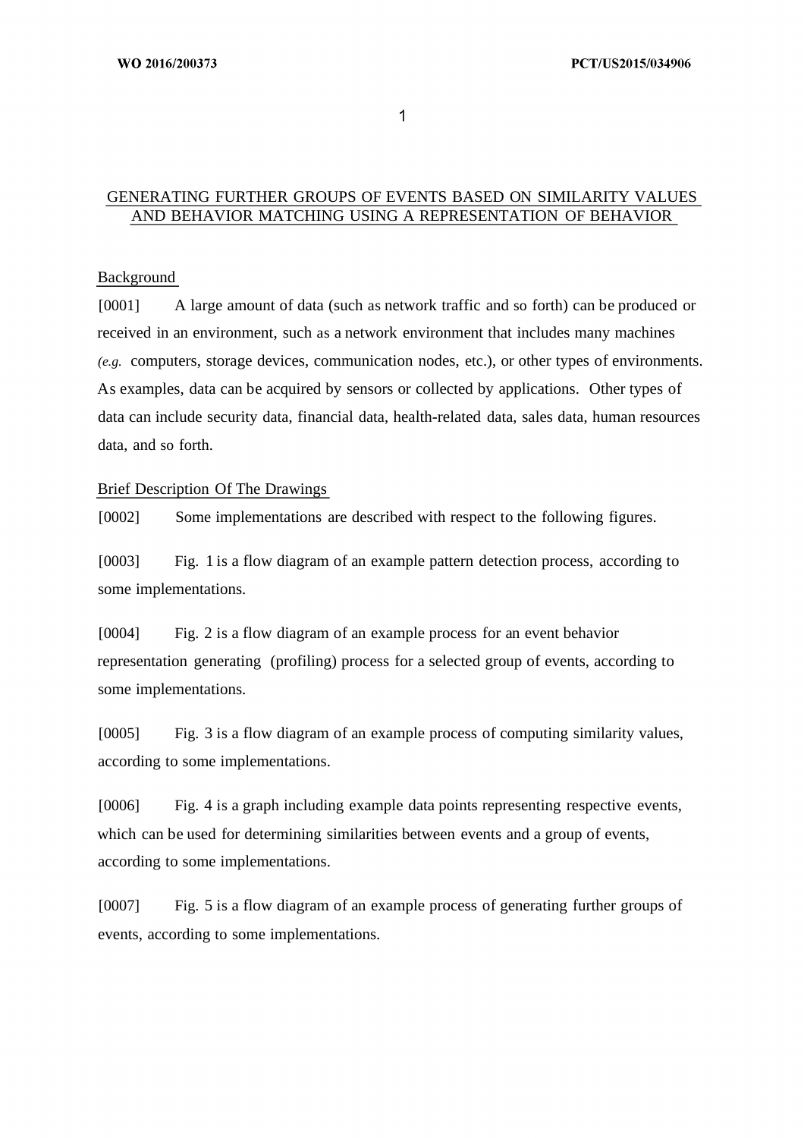$\mathbf{1}$ 

#### GENERATING FURTHER GROUPS OF EVENTS BASED ON SIMILARITY VALUES AND BEHAVIOR MATCHING USING A REPRESENTATION OF BEHAVIOR

#### Background

[0001] A large amount of data (such as network traffic and so forth) can be produced or received in an environment, such as a network environment that includes many machines *(e.g.* computers, storage devices, communication nodes, etc.), or other types of environments. As examples, data can be acquired by sensors or collected by applications. Other types of data can include security data, financial data, health-related data, sales data, human resources data, and so forth.

#### Brief Description Of The Drawings

[0002] Some implementations are described with respect to the following figures.

[0003] Fig. 1 is a flow diagram of an example pattern detection process, according to some implementations.

[0004] Fig. 2 is a flow diagram of an example process for an event behavior representation generating (profiling) process for a selected group of events, according to some implementations.

[0005] Fig. 3 is a flow diagram of an example process of computing similarity values, according to some implementations.

[0006] Fig. 4 is a graph including example data points representing respective events, which can be used for determining similarities between events and a group of events, according to some implementations.

[0007] Fig. 5 is a flow diagram of an example process of generating further groups of events, according to some implementations.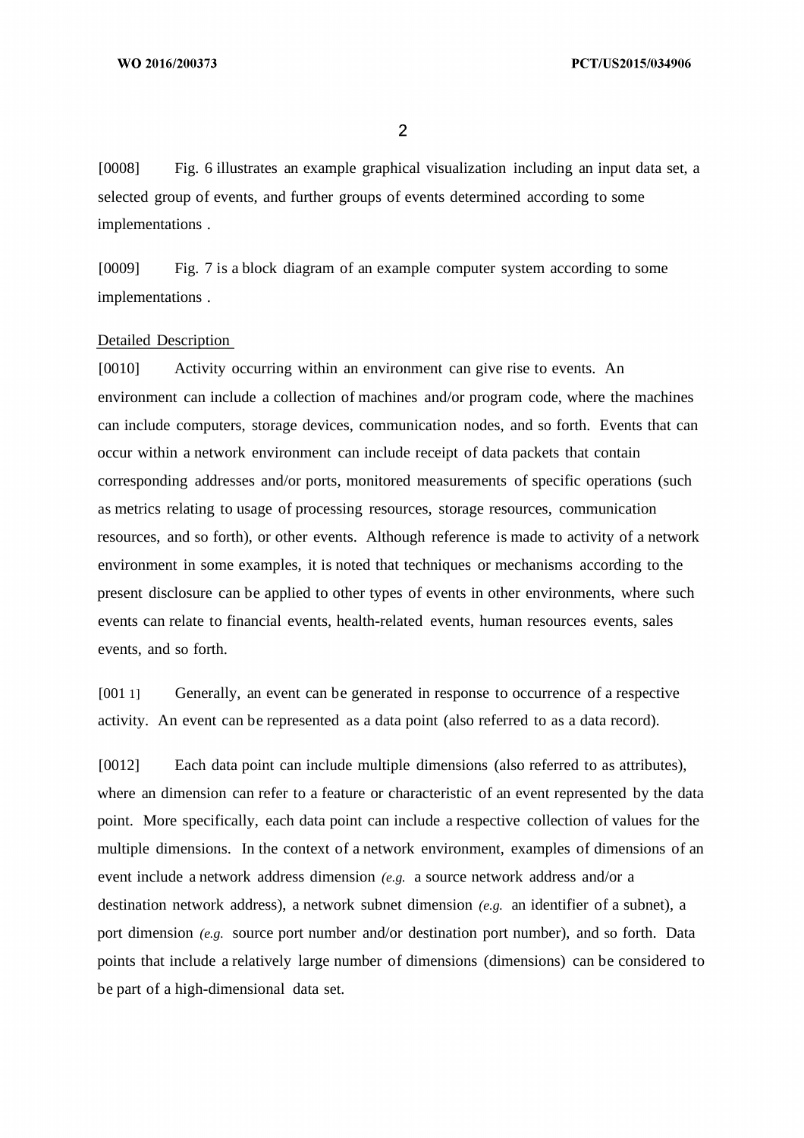$\overline{2}$ 

[0008] Fig. 6 illustrates an example graphical visualization including an input data set, a selected group of events, and further groups of events determined according to some implementations .

[0009] Fig. 7 is a block diagram of an example computer system according to some implementations .

#### Detailed Description

[0010] Activity occurring within an environment can give rise to events. An environment can include a collection of machines and/or program code, where the machines can include computers, storage devices, communication nodes, and so forth. Events that can occur within a network environment can include receipt of data packets that contain corresponding addresses and/or ports, monitored measurements of specific operations (such as metrics relating to usage of processing resources, storage resources, communication resources, and so forth), or other events. Although reference is made to activity of a network environment in some examples, it is noted that techniques or mechanisms according to the present disclosure can be applied to other types of events in other environments, where such events can relate to financial events, health-related events, human resources events, sales events, and so forth.

[001 1] Generally, an event can be generated in response to occurrence of a respective activity. An event can be represented as a data point (also referred to as a data record).

[0012] Each data point can include multiple dimensions (also referred to as attributes), where an dimension can refer to a feature or characteristic of an event represented by the data point. More specifically, each data point can include a respective collection of values for the multiple dimensions. In the context of a network environment, examples of dimensions of an event include a network address dimension *(e.g.* a source network address and/or a destination network address), a network subnet dimension *(e.g.* an identifier of a subnet), a port dimension *(e.g.* source port number and/or destination port number), and so forth. Data points that include a relatively large number of dimensions (dimensions) can be considered to be part of a high-dimensional data set.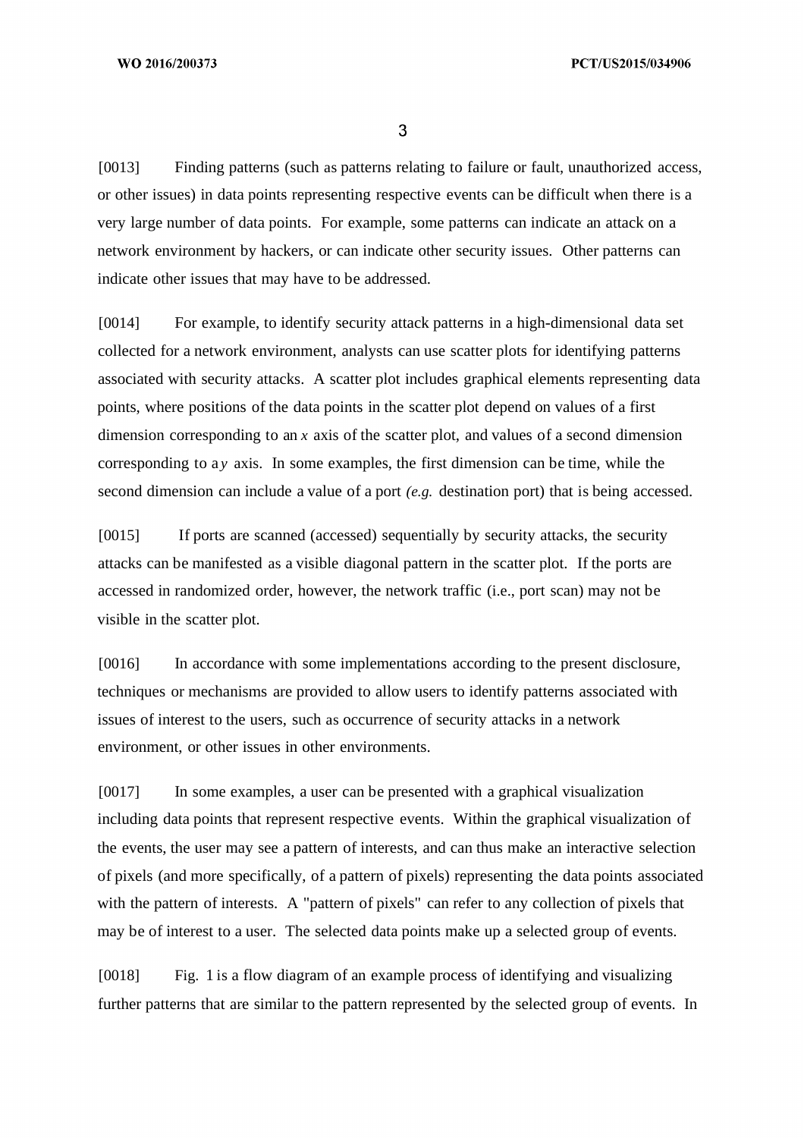[0013] Finding patterns (such as patterns relating to failure or fault, unauthorized access, or other issues) in data points representing respective events can be difficult when there is a very large number of data points. For example, some patterns can indicate an attack on a network environment by hackers, or can indicate other security issues. Other patterns can indicate other issues that may have to be addressed.

[0014] For example, to identify security attack patterns in a high-dimensional data set collected for a network environment, analysts can use scatter plots for identifying patterns associated with security attacks. A scatter plot includes graphical elements representing data points, where positions of the data points in the scatter plot depend on values of a first dimension corresponding to an *x* axis of the scatter plot, and values of a second dimension corresponding to a *y* axis. In some examples, the first dimension can be time, while the second dimension can include a value of a port *(e.g.* destination port) that is being accessed.

[0015] If ports are scanned (accessed) sequentially by security attacks, the security attacks can be manifested as a visible diagonal pattern in the scatter plot. If the ports are accessed in randomized order, however, the network traffic (i.e., port scan) may not be visible in the scatter plot.

[0016] In accordance with some implementations according to the present disclosure, techniques or mechanisms are provided to allow users to identify patterns associated with issues of interest to the users, such as occurrence of security attacks in a network environment, or other issues in other environments.

[0017] In some examples, a user can be presented with a graphical visualization including data points that represent respective events. Within the graphical visualization of the events, the user may see a pattern of interests, and can thus make an interactive selection of pixels (and more specifically, of a pattern of pixels) representing the data points associated with the pattern of interests. A "pattern of pixels" can refer to any collection of pixels that may be of interest to a user. The selected data points make up a selected group of events.

[0018] Fig. 1 is a flow diagram of an example process of identifying and visualizing further patterns that are similar to the pattern represented by the selected group of events. In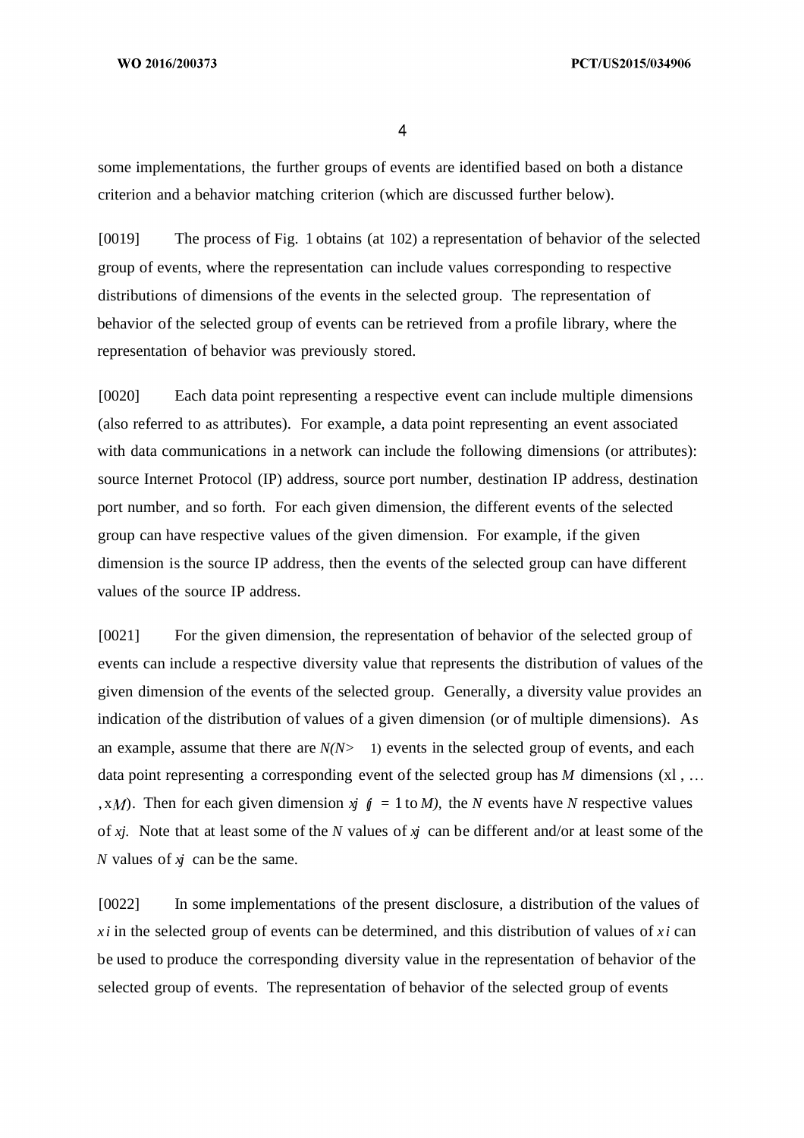$\overline{4}$ 

some implementations, the further groups of events are identified based on both a distance criterion and a behavior matching criterion (which are discussed further below).

[0019] The process of Fig. 1 obtains (at 102) a representation of behavior of the selected group of events, where the representation can include values corresponding to respective distributions of dimensions of the events in the selected group. The representation of behavior of the selected group of events can be retrieved from a profile library, where the representation of behavior was previously stored.

[0020] Each data point representing a respective event can include multiple dimensions (also referred to as attributes). For example, a data point representing an event associated with data communications in a network can include the following dimensions (or attributes): source Internet Protocol (IP) address, source port number, destination IP address, destination port number, and so forth. For each given dimension, the different events of the selected group can have respective values of the given dimension. For example, if the given dimension is the source IP address, then the events of the selected group can have different values of the source IP address.

[0021] For the given dimension, the representation of behavior of the selected group of events can include a respective diversity value that represents the distribution of values of the given dimension of the events of the selected group. Generally, a diversity value provides an indication of the distribution of values of a given dimension (or of multiple dimensions). As an example, assume that there are  $N(N>1)$  events in the selected group of events, and each data point representing a corresponding event of the selected group has *M* dimensions (xl, ... , x*M*). Then for each given dimension  $\dot{y}$   $\dot{y} = 1$  to *M*), the *N* events have *N* respective values of *xj.* Note that at least some of the *N* values of *xj* can be different and/or at least some of the *N* values of *xj* can be the same.

[0022] In some implementations of the present disclosure, a distribution of the values of  $xi$  *i* in the selected group of events can be determined, and this distribution of values of  $xi$  *i* can be used to produce the corresponding diversity value in the representation of behavior of the selected group of events. The representation of behavior of the selected group of events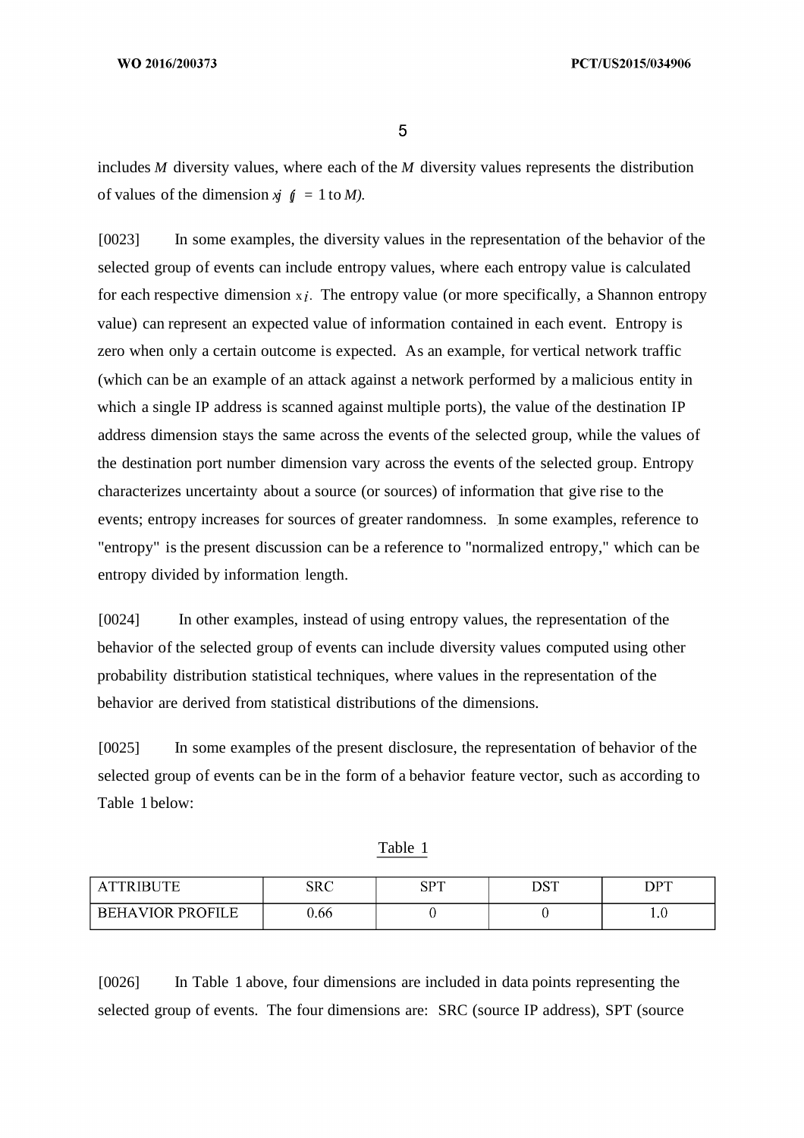includes *M* diversity values, where each of the *M* diversity values represents the distribution of values of the dimension  $\dot{y} = 1$  to *M*).

[0023] In some examples, the diversity values in the representation of the behavior of the selected group of events can include entropy values, where each entropy value is calculated for each respective dimension  $x_i$ . The entropy value (or more specifically, a Shannon entropy value) can represent an expected value of information contained in each event. Entropy is zero when only a certain outcome is expected. As an example, for vertical network traffic (which can be an example of an attack against a network performed by a malicious entity in which a single IP address is scanned against multiple ports), the value of the destination IP address dimension stays the same across the events of the selected group, while the values of the destination port number dimension vary across the events of the selected group. Entropy characterizes uncertainty about a source (or sources) of information that give rise to the events; entropy increases for sources of greater randomness. In some examples, reference to "entropy" is the present discussion can be a reference to "normalized entropy," which can be entropy divided by information length.

[0024] In other examples, instead of using entropy values, the representation of the behavior of the selected group of events can include diversity values computed using other probability distribution statistical techniques, where values in the representation of the behavior are derived from statistical distributions of the dimensions.

[0025] In some examples of the present disclosure, the representation of behavior of the selected group of events can be in the form of a behavior feature vector, such as according to Table 1 below:

| <b>\TTRIBUTE</b>        | ${\rm SRC}$ | $_{\rm CDT}$<br>NJ. | DST | <b>DPT</b> |
|-------------------------|-------------|---------------------|-----|------------|
| <b>BEHAVIOR PROFILE</b> | 0.66        |                     |     | 1.0        |

Table 1

[0026] In Table 1 above, four dimensions are included in data points representing the selected group of events. The four dimensions are: SRC (source IP address), SPT (source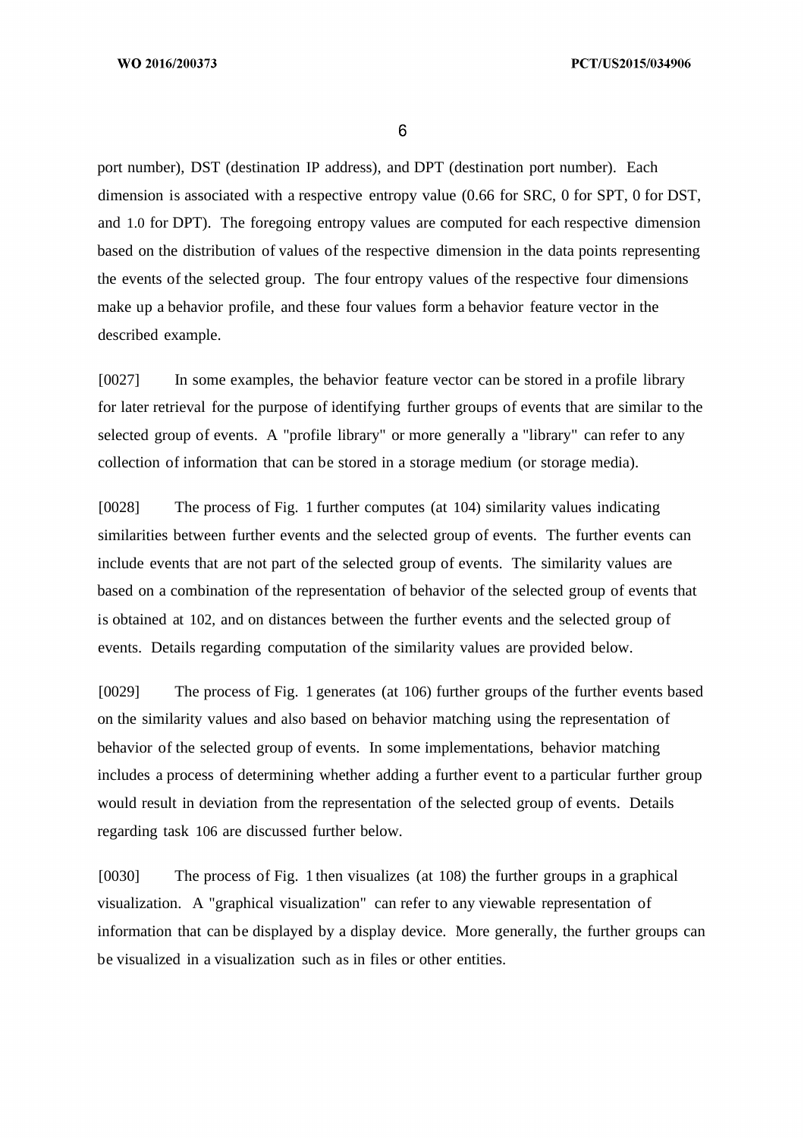port number), DST (destination IP address), and DPT (destination port number). Each dimension is associated with a respective entropy value (0.66 for SRC, 0 for SPT, 0 for DST, and 1.0 for DPT). The foregoing entropy values are computed for each respective dimension based on the distribution of values of the respective dimension in the data points representing the events of the selected group. The four entropy values of the respective four dimensions make up a behavior profile, and these four values form a behavior feature vector in the described example.

[0027] In some examples, the behavior feature vector can be stored in a profile library for later retrieval for the purpose of identifying further groups of events that are similar to the selected group of events. A "profile library" or more generally a "library" can refer to any collection of information that can be stored in a storage medium (or storage media).

[0028] The process of Fig. 1 further computes (at 104) similarity values indicating similarities between further events and the selected group of events. The further events can include events that are not part of the selected group of events. The similarity values are based on a combination of the representation of behavior of the selected group of events that is obtained at 102, and on distances between the further events and the selected group of events. Details regarding computation of the similarity values are provided below.

[0029] The process of Fig. 1 generates (at 106) further groups of the further events based on the similarity values and also based on behavior matching using the representation of behavior of the selected group of events. In some implementations, behavior matching includes a process of determining whether adding a further event to a particular further group would result in deviation from the representation of the selected group of events. Details regarding task 106 are discussed further below.

[0030] The process of Fig. 1 then visualizes (at 108) the further groups in a graphical visualization. A "graphical visualization" can refer to any viewable representation of information that can be displayed by a display device. More generally, the further groups can be visualized in a visualization such as in files or other entities.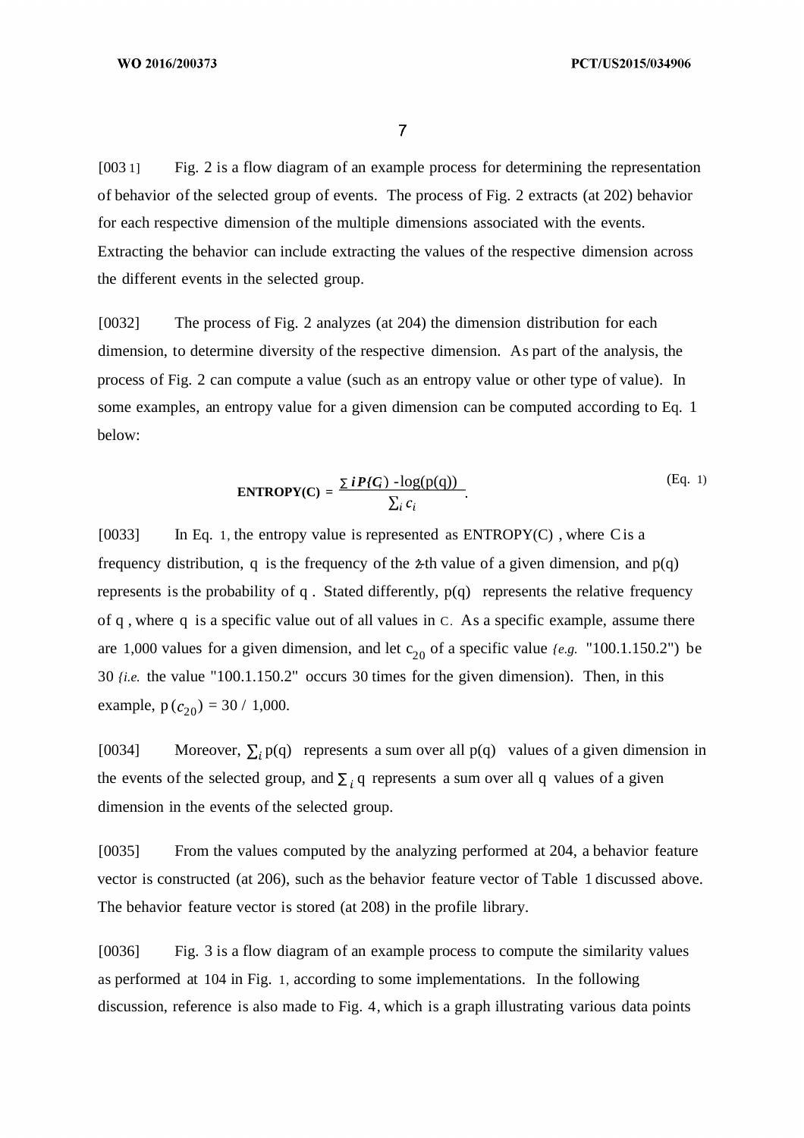$\overline{7}$ 

[003 1] Fig. 2 is a flow diagram of an example process for determining the representation of behavior of the selected group of events. The process of Fig. 2 extracts (at 202) behavior for each respective dimension of the multiple dimensions associated with the events. Extracting the behavior can include extracting the values of the respective dimension across the different events in the selected group.

[0032] The process of Fig. 2 analyzes (at 204) the dimension distribution for each dimension, to determine diversity of the respective dimension. As part of the analysis, the process of Fig. 2 can compute a value (such as an entropy value or other type of value). In some examples, an entropy value for a given dimension can be computed according to Eq. 1 below:

$$
ENTROPY(C) = \frac{\sum iP\{G\} - \log(p(q))}{\sum_{i} c_i}.
$$
 (Eq. 1)

[0033] In Eq. 1, the entropy value is represented as ENTROPY(C) , where Cis a frequency distribution, q is the frequency of the  $\dot{z}$ th value of a given dimension, and  $p(q)$ represents is the probability of q . Stated differently, p(q) represents the relative frequency of q , where q is a specific value out of all values in C. As a specific example, assume there are 1,000 values for a given dimension, and let  $c_{20}$  of a specific value  $(e.g.$  "100.1.150.2") be 30 *{i.e.* the value "100.1.150.2" occurs 30 times for the given dimension). Then, in this example,  $p(c_{20}) = 30 / 1,000$ .

[0034] Moreover,  $\sum_i p(q)$  represents a sum over all p(q) values of a given dimension in the events of the selected group, and  $\Sigma_i$  q represents a sum over all q values of a given dimension in the events of the selected group.

[0035] From the values computed by the analyzing performed at 204, a behavior feature vector is constructed (at 206), such as the behavior feature vector of Table 1 discussed above. The behavior feature vector is stored (at 208) in the profile library.

[0036] Fig. 3 is a flow diagram of an example process to compute the similarity values as performed at 104 in Fig. 1, according to some implementations. In the following discussion, reference is also made to Fig. 4, which is a graph illustrating various data points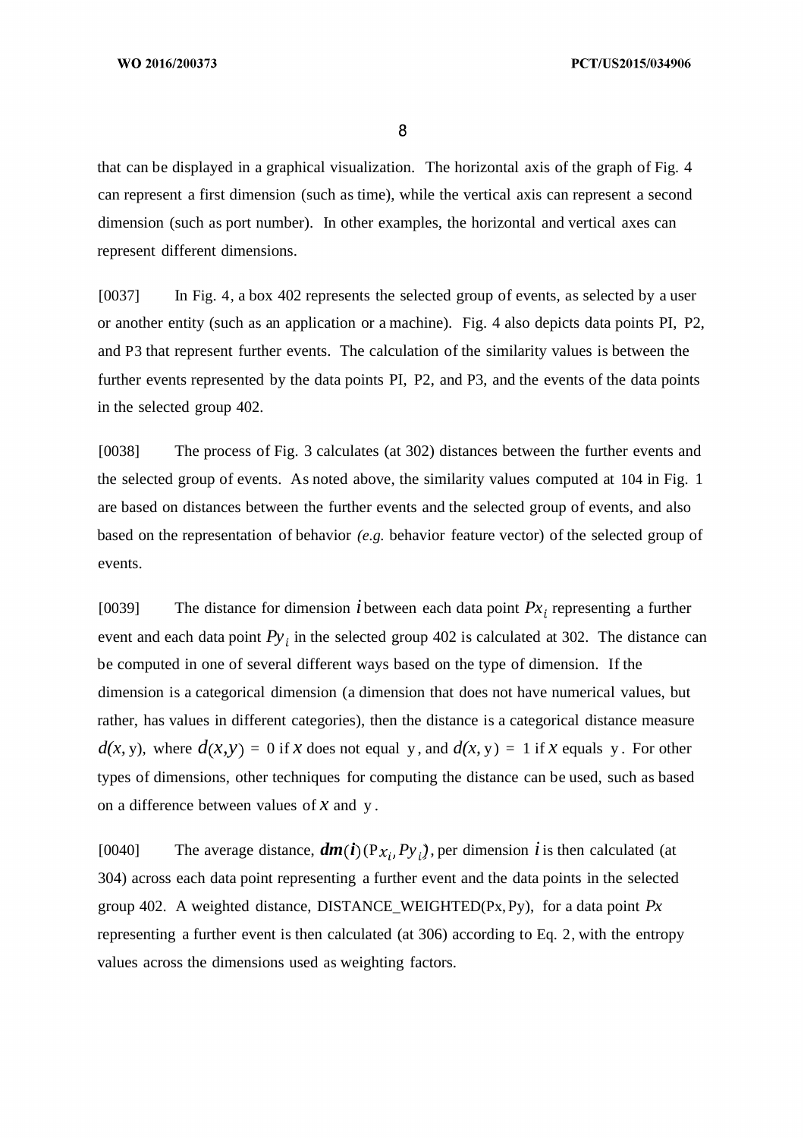that can be displayed in a graphical visualization. The horizontal axis of the graph of Fig. 4 can represent a first dimension (such as time), while the vertical axis can represent a second dimension (such as port number). In other examples, the horizontal and vertical axes can represent different dimensions.

[0037] In Fig. 4, a box 402 represents the selected group of events, as selected by a user or another entity (such as an application or a machine). Fig. 4 also depicts data points PI, P2, and P3 that represent further events. The calculation of the similarity values is between the further events represented by the data points PI, P2, and P3, and the events of the data points in the selected group 402.

[0038] The process of Fig. 3 calculates (at 302) distances between the further events and the selected group of events. As noted above, the similarity values computed at 104 in Fig. 1 are based on distances between the further events and the selected group of events, and also based on the representation of behavior *(e.g.* behavior feature vector) of the selected group of events.

[0039] The distance for dimension *i* between each data point  $Px_i$  representing a further event and each data point  $Py_i$  in the selected group 402 is calculated at 302. The distance can be computed in one of several different ways based on the type of dimension. If the dimension is a categorical dimension (a dimension that does not have numerical values, but rather, has values in different categories), then the distance is a categorical distance measure  $d(x, y)$ , where  $d(x, y) = 0$  if x does not equal y, and  $d(x, y) = 1$  if x equals y. For other types of dimensions, other techniques for computing the distance can be used, such as based on a difference between values of *x* and y .

[0040] The average distance,  $dm(t)$  (P<sub>x<sub>i</sub></sub>, P<sub>y<sub>i</sub></sub>), per dimension *i* is then calculated (at 304) across each data point representing a further event and the data points in the selected group 402. A weighted distance, DISTANCE\_WEIGHTED(Px,Py), for a data point *Px* representing a further event is then calculated (at 306) according to Eq. 2, with the entropy values across the dimensions used as weighting factors.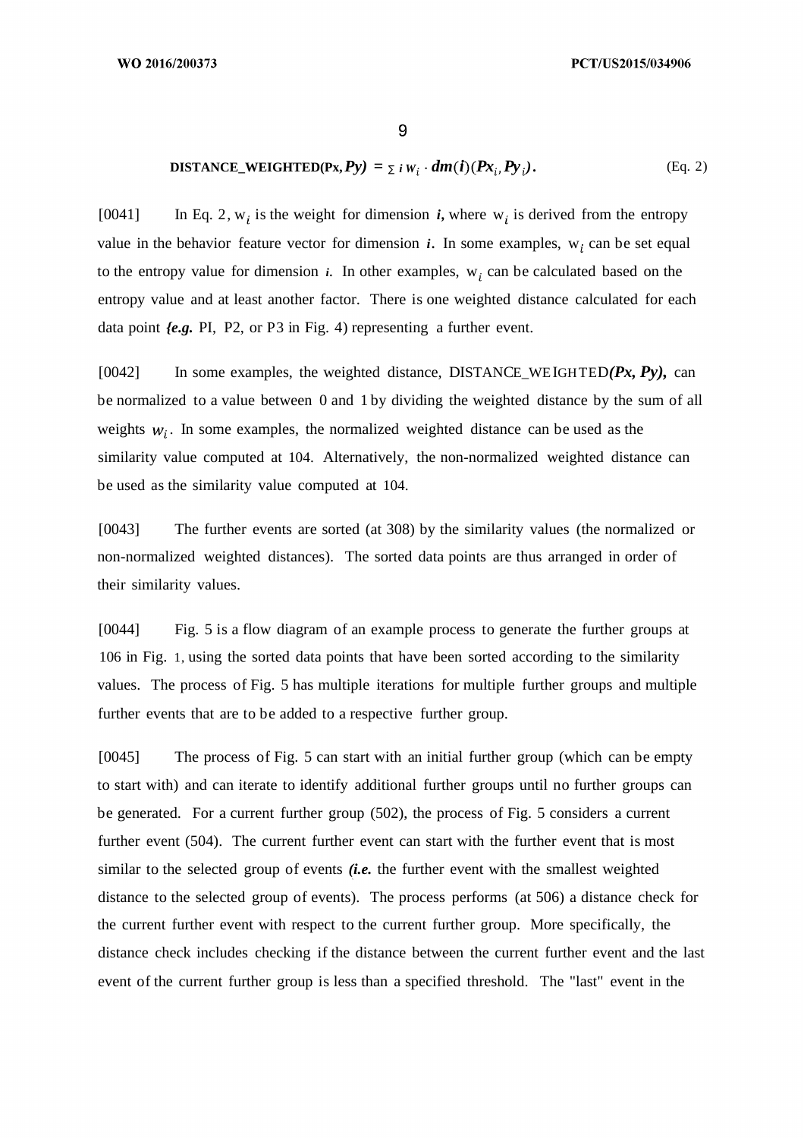### **DISTANCE\_WEIGHTED(Px, Py)** =  $\sum i W_i \cdot dm(i)(Px_i, Py_i)$ . (Eq. 2)

[0041] In Eq. 2,  $w_i$  is the weight for dimension *i*, where  $w_i$  is derived from the entropy value in the behavior feature vector for dimension  $i$ . In some examples,  $w_i$  can be set equal to the entropy value for dimension  $i$ . In other examples,  $w_i$  can be calculated based on the entropy value and at least another factor. There is one weighted distance calculated for each data point *{e.g.* PI, P2, or P3 in Fig. 4) representing a further event.

[0042] In some examples, the weighted distance, DISTANCE WEIGHTED $(Px, Py)$ , can be normalized to a value between 0 and 1 by dividing the weighted distance by the sum of all weights  $w_i$ . In some examples, the normalized weighted distance can be used as the similarity value computed at 104. Alternatively, the non-normalized weighted distance can be used as the similarity value computed at 104.

[0043] The further events are sorted (at 308) by the similarity values (the normalized or non-normalized weighted distances). The sorted data points are thus arranged in order of their similarity values.

[0044] Fig. 5 is a flow diagram of an example process to generate the further groups at 106 in Fig. 1, using the sorted data points that have been sorted according to the similarity values. The process of Fig. 5 has multiple iterations for multiple further groups and multiple further events that are to be added to a respective further group.

[0045] The process of Fig. 5 can start with an initial further group (which can be empty to start with) and can iterate to identify additional further groups until no further groups can be generated. For a current further group (502), the process of Fig. 5 considers a current further event (504). The current further event can start with the further event that is most similar to the selected group of events *(i.e.* the further event with the smallest weighted distance to the selected group of events). The process performs (at 506) a distance check for the current further event with respect to the current further group. More specifically, the distance check includes checking if the distance between the current further event and the last event of the current further group is less than a specified threshold. The "last" event in the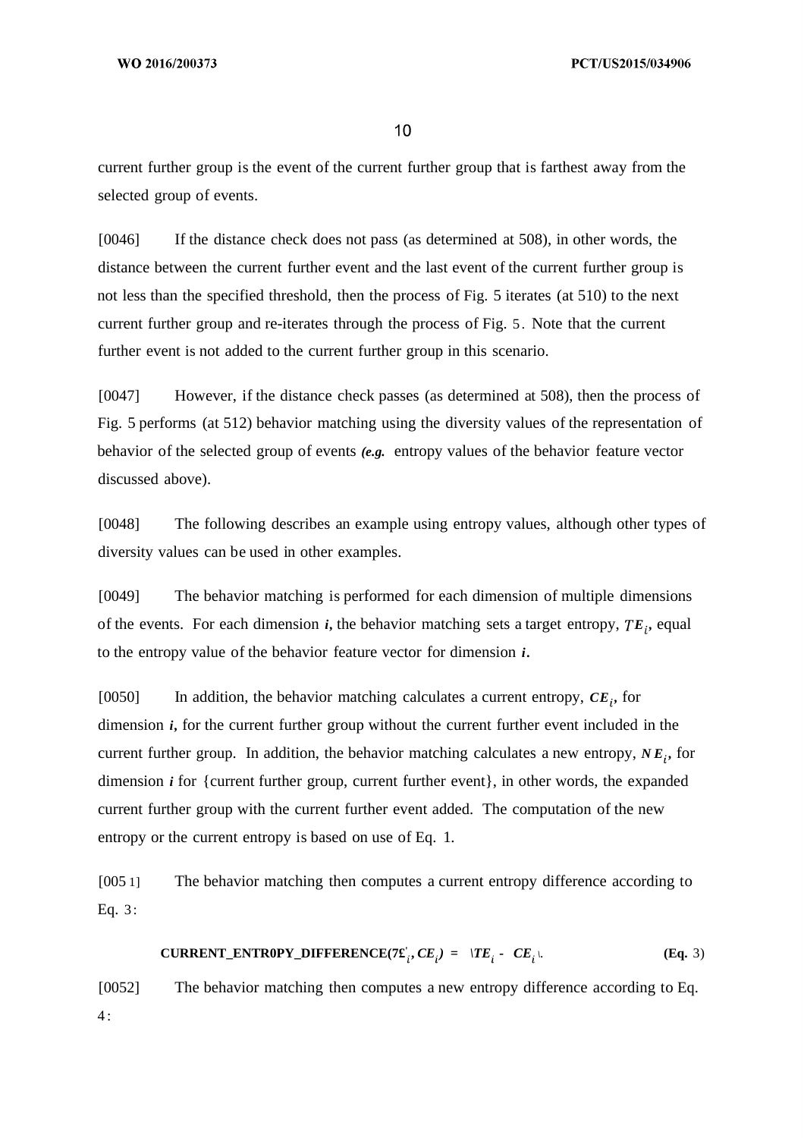current further group is the event of the current further group that is farthest away from the selected group of events.

[0046] If the distance check does not pass (as determined at 508), in other words, the distance between the current further event and the last event of the current further group is not less than the specified threshold, then the process of Fig. 5 iterates (at 510) to the next current further group and re-iterates through the process of Fig. 5. Note that the current further event is not added to the current further group in this scenario.

[0047] However, if the distance check passes (as determined at 508), then the process of Fig. 5 performs (at 512) behavior matching using the diversity values of the representation of behavior of the selected group of events *(e.g.* entropy values of the behavior feature vector discussed above).

[0048] The following describes an example using entropy values, although other types of diversity values can be used in other examples.

[0049] The behavior matching is performed for each dimension of multiple dimensions of the events. For each dimension *i,* the behavior matching sets a target entropy, *E ,* equal to the entropy value of the behavior feature vector for dimension *i.*

[0050] In addition, the behavior matching calculates a current entropy,  $CE_i$ , for dimension *i,* for the current further group without the current further event included in the current further group. In addition, the behavior matching calculates a new entropy,  $NE<sub>i</sub>$ , for dimension *i* for {current further group, current further event}, in other words, the expanded current further group with the current further event added. The computation of the new entropy or the current entropy is based on use of Eq. 1.

[005 1] The behavior matching then computes a current entropy difference according to Eq. 3 :

$$
\text{CURRENT\_ENTROPY\_DIFFERENCE}(7\pounds_i, CE_i) = |TE_i - CE_i|.
$$
\n(Eq. 3)

[0052] The behavior matching then computes a new entropy difference according to Eq.  $4:$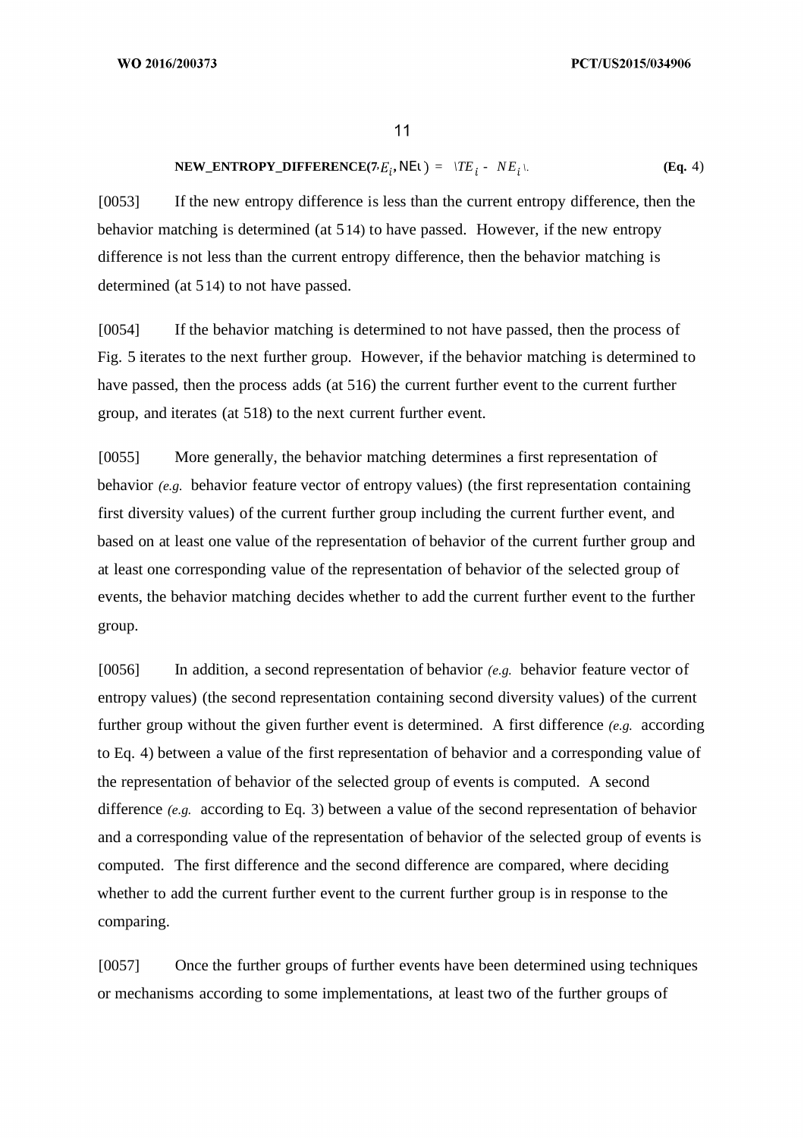$$
NEW\_ENTROPY\_DIFFERENCE(7E_i, NE1) = \langle TE_i - NE_i \rangle. \tag{Eq. 4}
$$

[0053] If the new entropy difference is less than the current entropy difference, then the behavior matching is determined (at 514) to have passed. However, if the new entropy difference is not less than the current entropy difference, then the behavior matching is determined (at 514) to not have passed.

[0054] If the behavior matching is determined to not have passed, then the process of Fig. 5 iterates to the next further group. However, if the behavior matching is determined to have passed, then the process adds (at 516) the current further event to the current further group, and iterates (at 518) to the next current further event.

[0055] More generally, the behavior matching determines a first representation of behavior *(e.g.* behavior feature vector of entropy values) (the first representation containing first diversity values) of the current further group including the current further event, and based on at least one value of the representation of behavior of the current further group and at least one corresponding value of the representation of behavior of the selected group of events, the behavior matching decides whether to add the current further event to the further group.

[0056] In addition, a second representation of behavior *(e.g.* behavior feature vector of entropy values) (the second representation containing second diversity values) of the current further group without the given further event is determined. A first difference *(e.g.* according to Eq. 4) between a value of the first representation of behavior and a corresponding value of the representation of behavior of the selected group of events is computed. A second difference *(e.g.* according to Eq. 3) between a value of the second representation of behavior and a corresponding value of the representation of behavior of the selected group of events is computed. The first difference and the second difference are compared, where deciding whether to add the current further event to the current further group is in response to the comparing.

[0057] Once the further groups of further events have been determined using techniques or mechanisms according to some implementations, at least two of the further groups of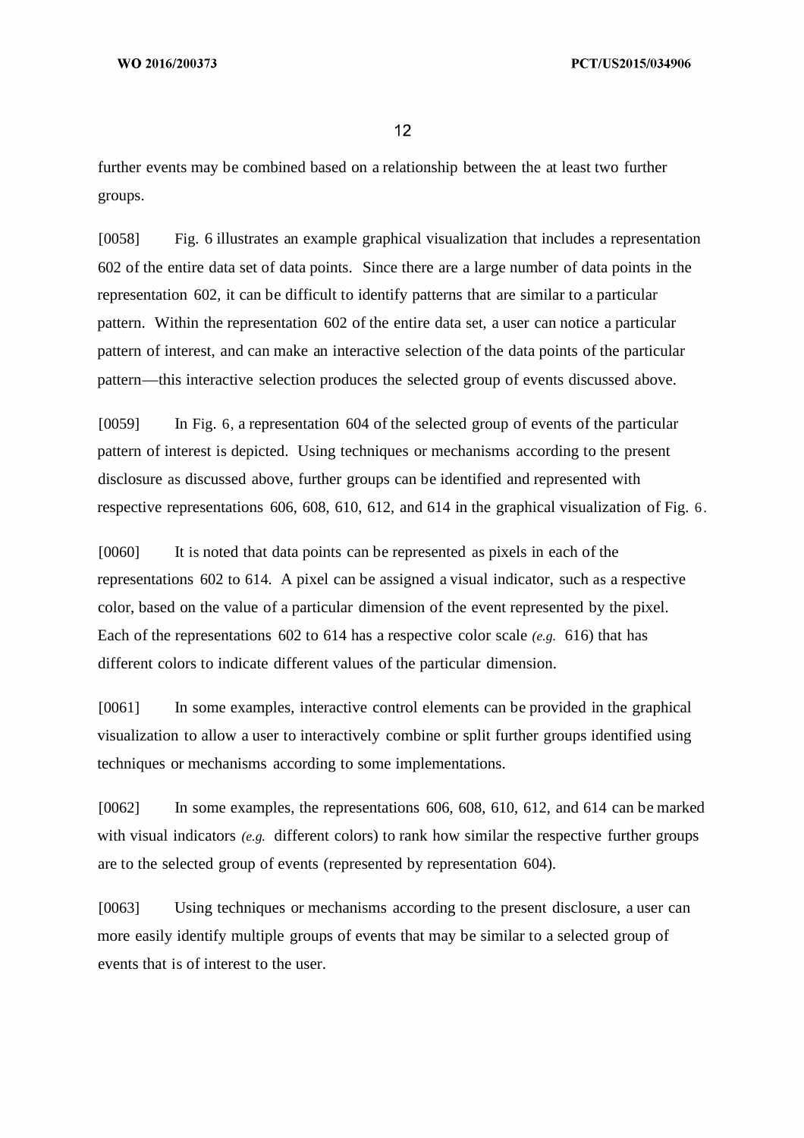further events may be combined based on a relationship between the at least two further groups.

[0058] Fig. 6 illustrates an example graphical visualization that includes a representation 602 of the entire data set of data points. Since there are a large number of data points in the representation 602, it can be difficult to identify patterns that are similar to a particular pattern. Within the representation 602 of the entire data set, a user can notice a particular pattern of interest, and can make an interactive selection of the data points of the particular pattern—this interactive selection produces the selected group of events discussed above.

[0059] In Fig. 6, a representation 604 of the selected group of events of the particular pattern of interest is depicted. Using techniques or mechanisms according to the present disclosure as discussed above, further groups can be identified and represented with respective representations 606, 608, 610, 612, and 614 in the graphical visualization of Fig. 6.

[0060] It is noted that data points can be represented as pixels in each of the representations 602 to 614. A pixel can be assigned a visual indicator, such as a respective color, based on the value of a particular dimension of the event represented by the pixel. Each of the representations 602 to 614 has a respective color scale *(e.g.* 616) that has different colors to indicate different values of the particular dimension.

[0061] In some examples, interactive control elements can be provided in the graphical visualization to allow a user to interactively combine or split further groups identified using techniques or mechanisms according to some implementations.

[0062] In some examples, the representations 606, 608, 610, 612, and 614 can be marked with visual indicators *(e.g.* different colors) to rank how similar the respective further groups are to the selected group of events (represented by representation 604).

[0063] Using techniques or mechanisms according to the present disclosure, a user can more easily identify multiple groups of events that may be similar to a selected group of events that is of interest to the user.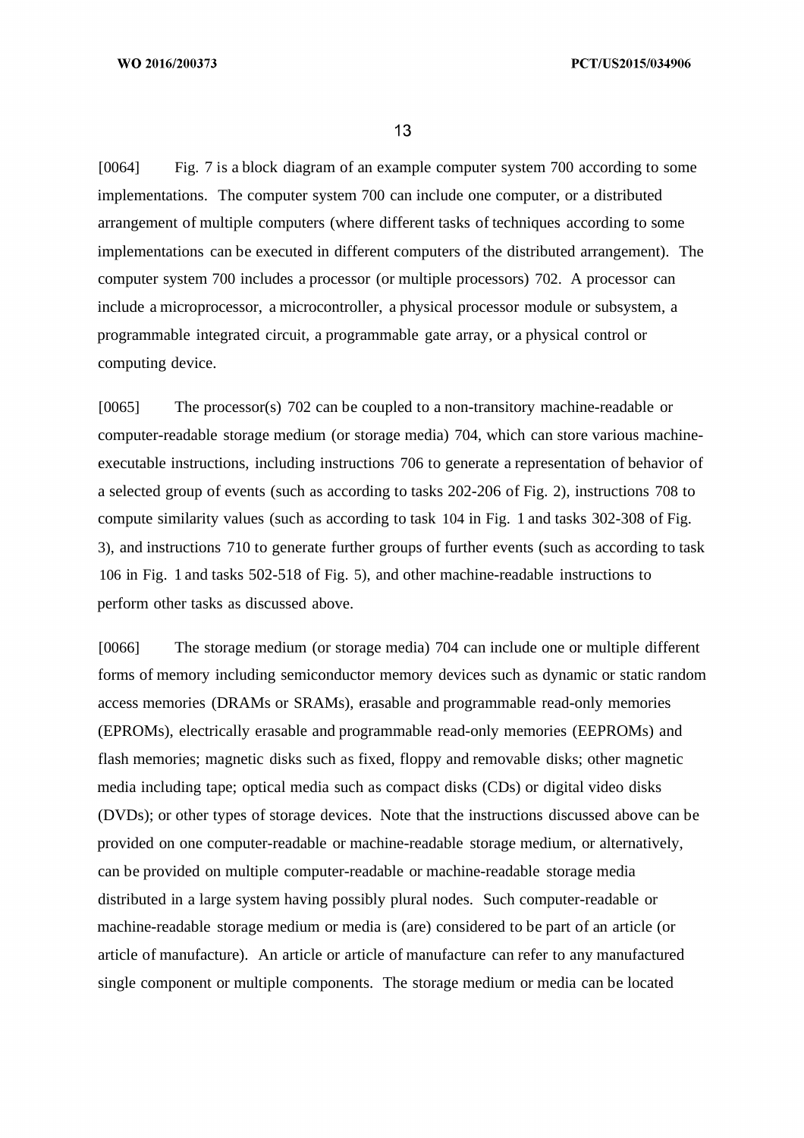[0064] Fig. 7 is a block diagram of an example computer system 700 according to some implementations. The computer system 700 can include one computer, or a distributed arrangement of multiple computers (where different tasks of techniques according to some implementations can be executed in different computers of the distributed arrangement). The computer system 700 includes a processor (or multiple processors) 702. A processor can include a microprocessor, a microcontroller, a physical processor module or subsystem, a programmable integrated circuit, a programmable gate array, or a physical control or computing device.

[0065] The processor(s) 702 can be coupled to a non-transitory machine-readable or computer-readable storage medium (or storage media) 704, which can store various machineexecutable instructions, including instructions 706 to generate a representation of behavior of a selected group of events (such as according to tasks 202-206 of Fig. 2), instructions 708 to compute similarity values (such as according to task 104 in Fig. 1 and tasks 302-308 of Fig. 3), and instructions 710 to generate further groups of further events (such as according to task 106 in Fig. 1 and tasks 502-518 of Fig. 5), and other machine-readable instructions to perform other tasks as discussed above.

[0066] The storage medium (or storage media) 704 can include one or multiple different forms of memory including semiconductor memory devices such as dynamic or static random access memories (DRAMs or SRAMs), erasable and programmable read-only memories (EPROMs), electrically erasable and programmable read-only memories (EEPROMs) and flash memories; magnetic disks such as fixed, floppy and removable disks; other magnetic media including tape; optical media such as compact disks (CDs) or digital video disks (DVDs); or other types of storage devices. Note that the instructions discussed above can be provided on one computer-readable or machine-readable storage medium, or alternatively, can be provided on multiple computer-readable or machine-readable storage media distributed in a large system having possibly plural nodes. Such computer-readable or machine-readable storage medium or media is (are) considered to be part of an article (or article of manufacture). An article or article of manufacture can refer to any manufactured single component or multiple components. The storage medium or media can be located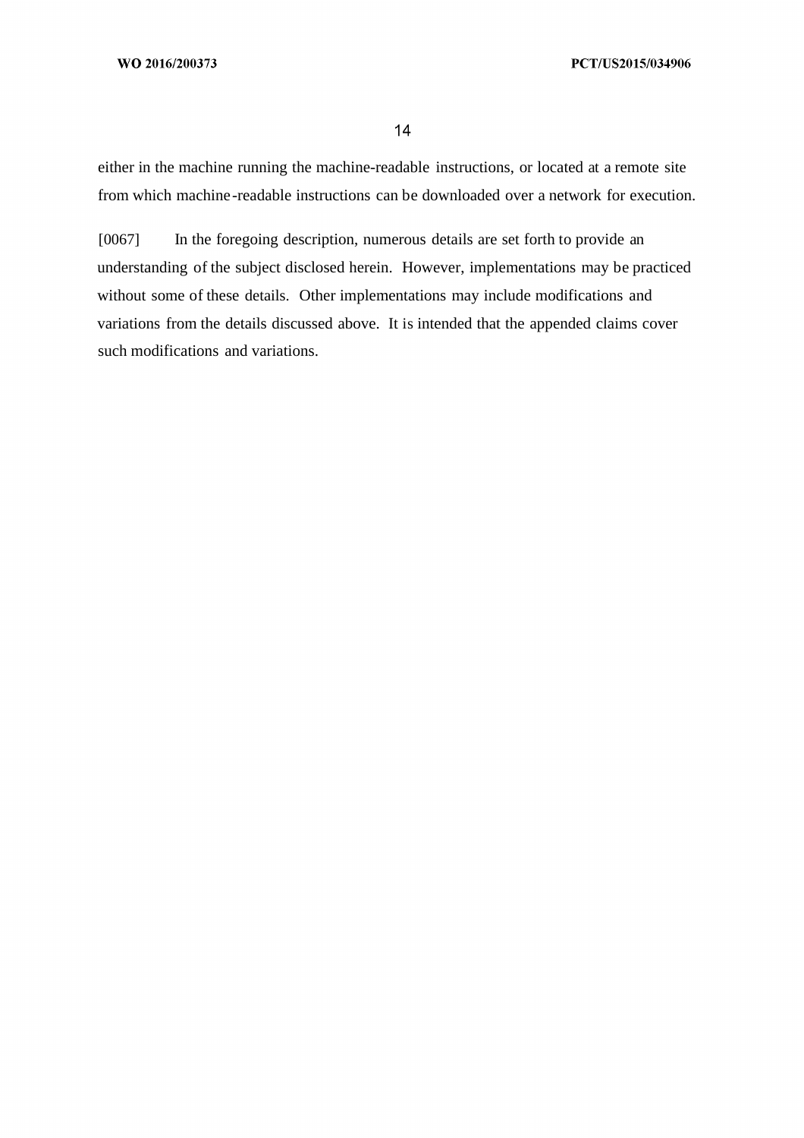either in the machine running the machine-readable instructions, or located at a remote site from which machine-readable instructions can be downloaded over a network for execution.

[0067] In the foregoing description, numerous details are set forth to provide an understanding of the subject disclosed herein. However, implementations may be practiced without some of these details. Other implementations may include modifications and variations from the details discussed above. It is intended that the appended claims cover such modifications and variations.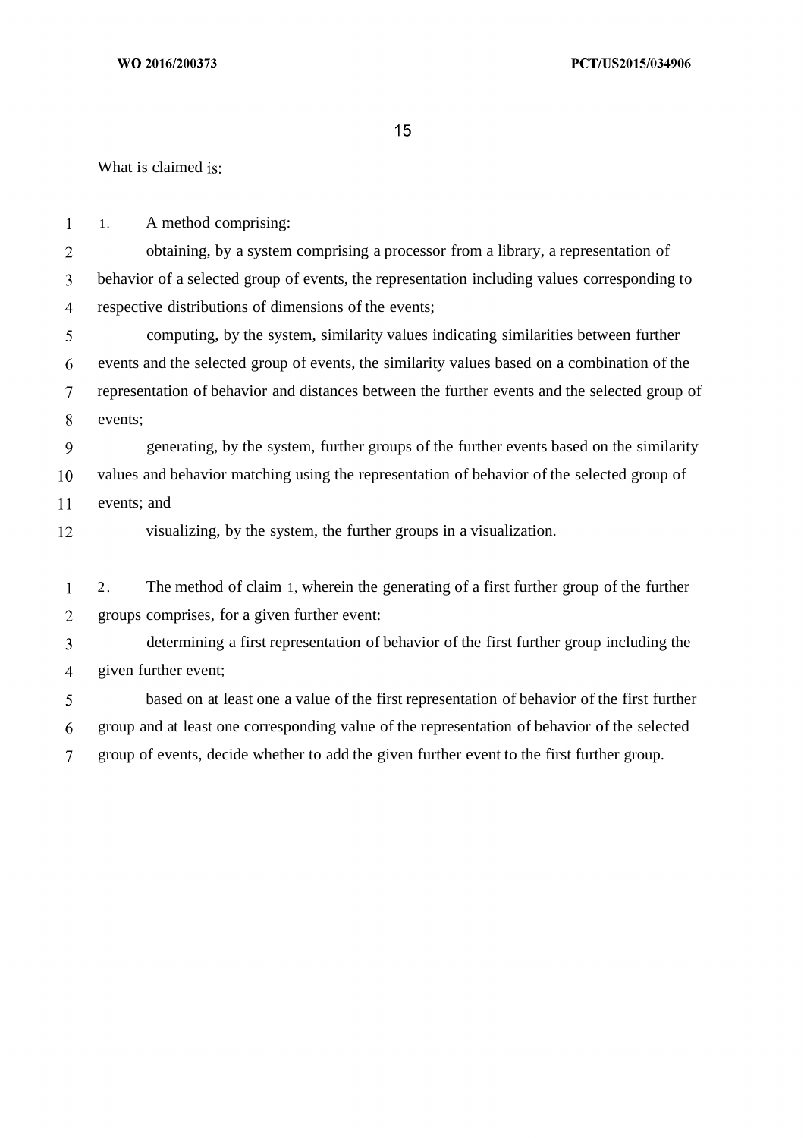What is claimed is:

1. A method comprising:  $\mathbf{1}$  $\overline{2}$ obtaining, by a system comprising a processor from a library, a representation of  $\overline{3}$ behavior of a selected group of events, the representation including values corresponding to  $\overline{4}$ respective distributions of dimensions of the events;  $5<sup>5</sup>$ computing, by the system, similarity values indicating similarities between further 6 events and the selected group of events, the similarity values based on a combination of the  $\overline{7}$ representation of behavior and distances between the further events and the selected group of 8 events; 9 generating, by the system, further groups of the further events based on the similarity values and behavior matching using the representation of behavior of the selected group of 10 11 events; and 12 visualizing, by the system, the further groups in a visualization.  $\mathbf{1}$ 2. The method of claim 1, wherein the generating of a first further group of the further  $\overline{2}$ groups comprises, for a given further event:  $\overline{3}$ determining a first representation of behavior of the first further group including the given further event;  $\overline{4}$ based on at least one a value of the first representation of behavior of the first further 5 6 group and at least one corresponding value of the representation of behavior of the selected  $\overline{7}$ group of events, decide whether to add the given further event to the first further group.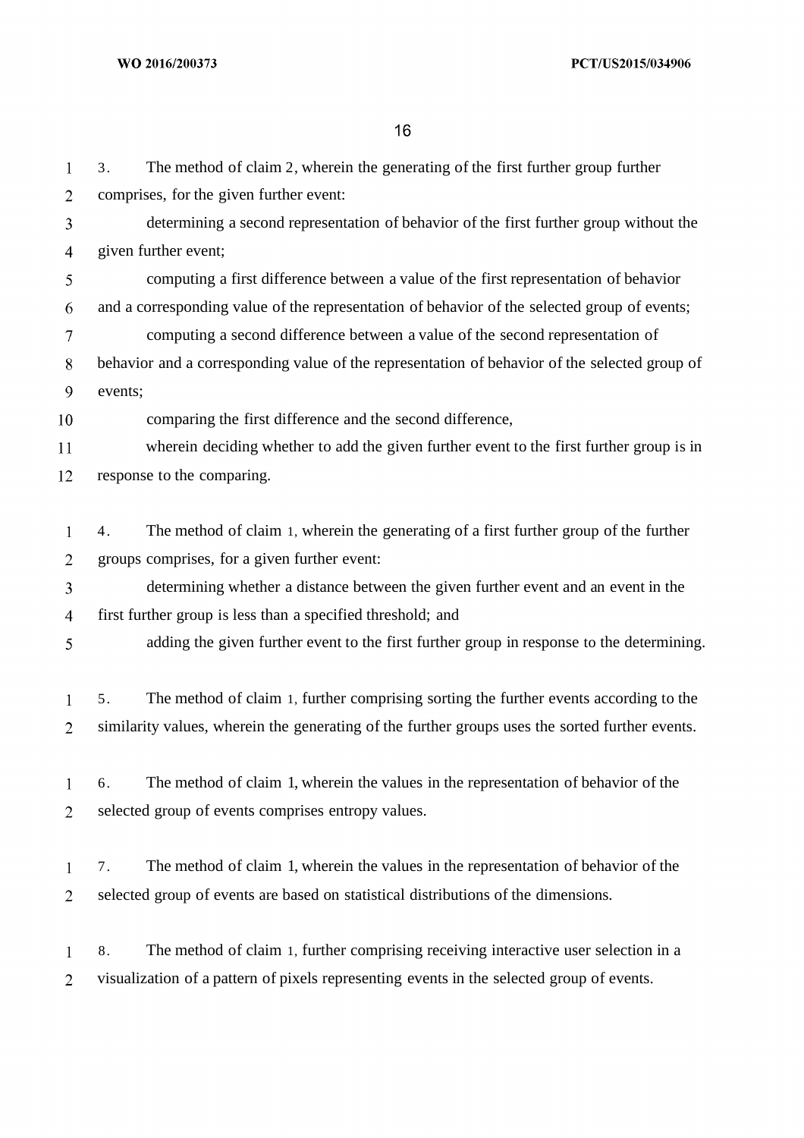| 1              | The method of claim 2, wherein the generating of the first further group further<br>3.          |  |  |  |  |
|----------------|-------------------------------------------------------------------------------------------------|--|--|--|--|
| $\overline{2}$ | comprises, for the given further event:                                                         |  |  |  |  |
| 3              | determining a second representation of behavior of the first further group without the          |  |  |  |  |
| 4              | given further event;                                                                            |  |  |  |  |
| 5              | computing a first difference between a value of the first representation of behavior            |  |  |  |  |
| 6              | and a corresponding value of the representation of behavior of the selected group of events;    |  |  |  |  |
| 7              | computing a second difference between a value of the second representation of                   |  |  |  |  |
| 8              | behavior and a corresponding value of the representation of behavior of the selected group of   |  |  |  |  |
| 9              | events;                                                                                         |  |  |  |  |
| 10             | comparing the first difference and the second difference,                                       |  |  |  |  |
| 11             | wherein deciding whether to add the given further event to the first further group is in        |  |  |  |  |
| 12             | response to the comparing.                                                                      |  |  |  |  |
|                |                                                                                                 |  |  |  |  |
| $\mathbf{1}$   | The method of claim 1, wherein the generating of a first further group of the further<br>4.     |  |  |  |  |
| $\overline{2}$ | groups comprises, for a given further event:                                                    |  |  |  |  |
| 3              | determining whether a distance between the given further event and an event in the              |  |  |  |  |
| 4              | first further group is less than a specified threshold; and                                     |  |  |  |  |
| 5              | adding the given further event to the first further group in response to the determining.       |  |  |  |  |
|                |                                                                                                 |  |  |  |  |
| $\mathbf{1}$   | The method of claim 1, further comprising sorting the further events according to the<br>5.     |  |  |  |  |
| 2              | similarity values, wherein the generating of the further groups uses the sorted further events. |  |  |  |  |
|                |                                                                                                 |  |  |  |  |
| 1              | The method of claim 1, wherein the values in the representation of behavior of the<br>6.        |  |  |  |  |
| $\overline{2}$ | selected group of events comprises entropy values.                                              |  |  |  |  |
|                |                                                                                                 |  |  |  |  |
| $\mathbf{1}$   | The method of claim 1, wherein the values in the representation of behavior of the<br>7.        |  |  |  |  |
| $\overline{2}$ | selected group of events are based on statistical distributions of the dimensions.              |  |  |  |  |
|                |                                                                                                 |  |  |  |  |
| $\mathbf{1}$   | The method of claim 1, further comprising receiving interactive user selection in a<br>8.       |  |  |  |  |
| $\overline{2}$ | visualization of a pattern of pixels representing events in the selected group of events.       |  |  |  |  |
|                |                                                                                                 |  |  |  |  |
|                |                                                                                                 |  |  |  |  |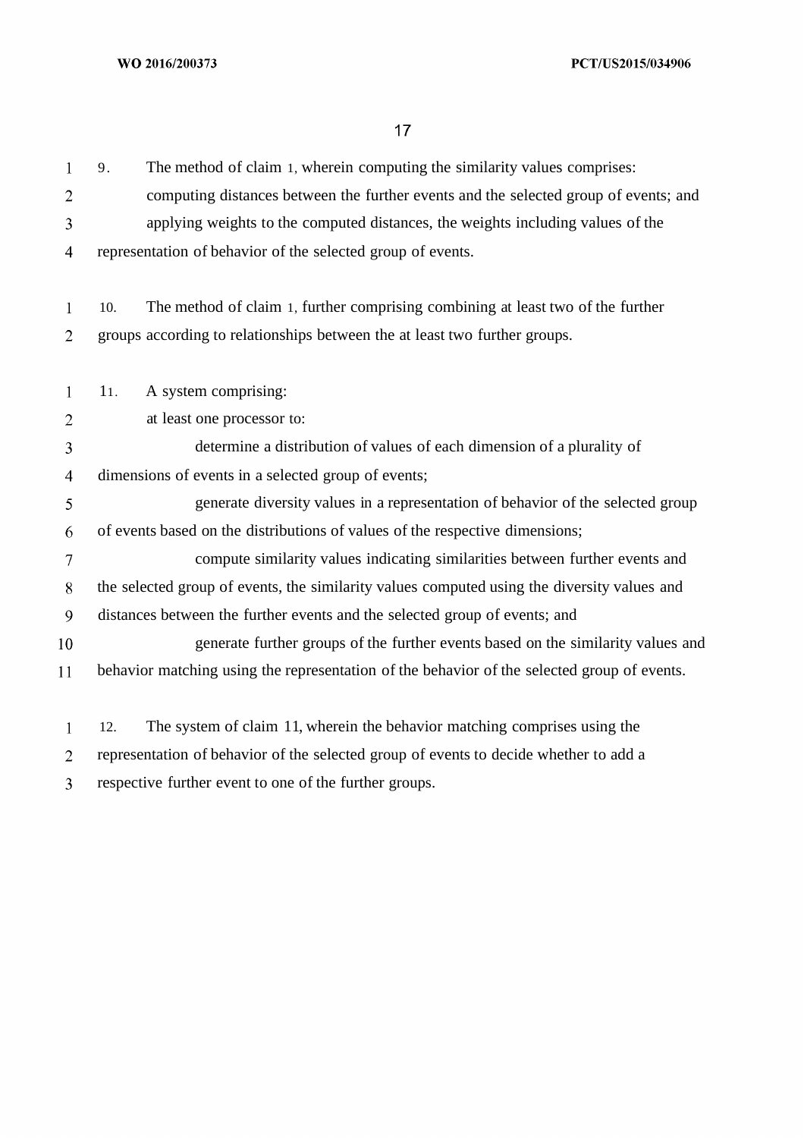| 1              | The method of claim 1, wherein computing the similarity values comprises:<br>9.             |  |  |  |  |
|----------------|---------------------------------------------------------------------------------------------|--|--|--|--|
| $\overline{2}$ | computing distances between the further events and the selected group of events; and        |  |  |  |  |
| 3              | applying weights to the computed distances, the weights including values of the             |  |  |  |  |
| $\overline{4}$ | representation of behavior of the selected group of events.                                 |  |  |  |  |
| $\mathbf{1}$   | The method of claim 1, further comprising combining at least two of the further<br>10.      |  |  |  |  |
| $\overline{2}$ | groups according to relationships between the at least two further groups.                  |  |  |  |  |
| 1              | A system comprising:<br>11.                                                                 |  |  |  |  |
| $\overline{2}$ | at least one processor to:                                                                  |  |  |  |  |
| 3              | determine a distribution of values of each dimension of a plurality of                      |  |  |  |  |
| 4              | dimensions of events in a selected group of events;                                         |  |  |  |  |
| 5              | generate diversity values in a representation of behavior of the selected group             |  |  |  |  |
| 6              | of events based on the distributions of values of the respective dimensions;                |  |  |  |  |
| 7              | compute similarity values indicating similarities between further events and                |  |  |  |  |
| 8              | the selected group of events, the similarity values computed using the diversity values and |  |  |  |  |
| 9              | distances between the further events and the selected group of events; and                  |  |  |  |  |
| 10             | generate further groups of the further events based on the similarity values and            |  |  |  |  |
| 11             | behavior matching using the representation of the behavior of the selected group of events. |  |  |  |  |
| $\mathbf{1}$   | The system of claim 11, wherein the behavior matching comprises using the<br>12.            |  |  |  |  |
| 2              | representation of behavior of the selected group of events to decide whether to add a       |  |  |  |  |
| 3              | respective further event to one of the further groups.                                      |  |  |  |  |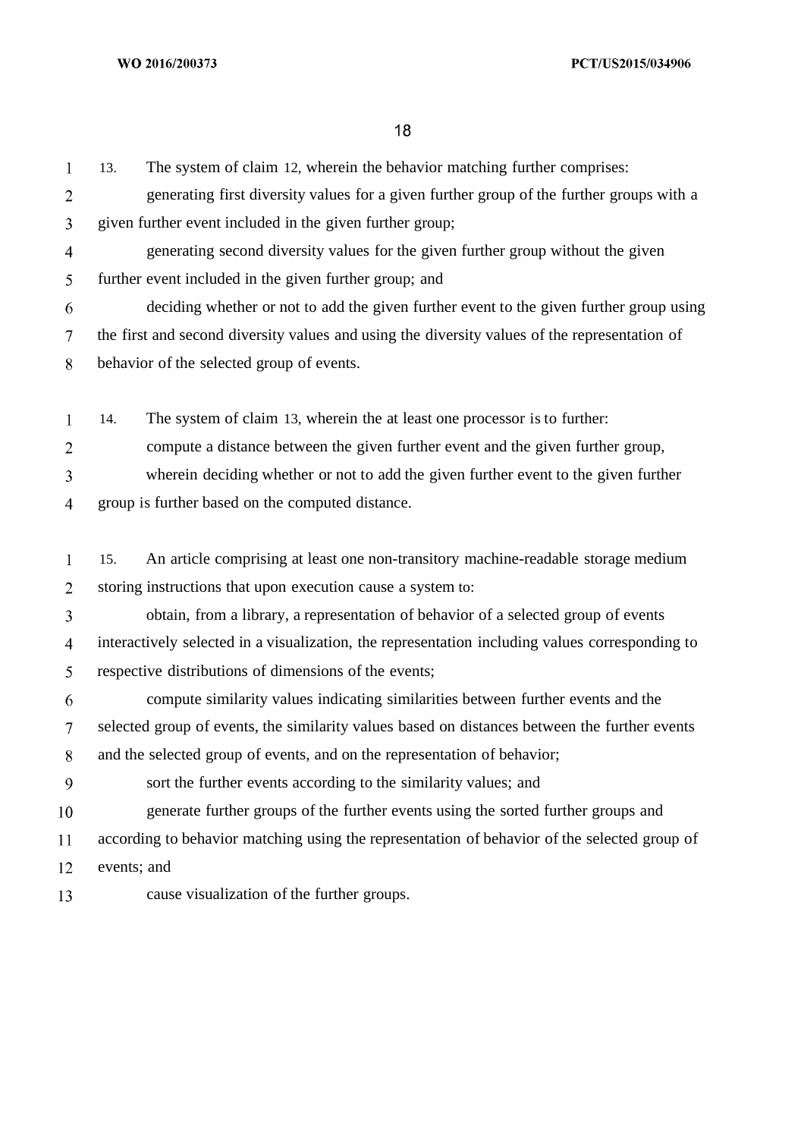WO 2016/200373

PCT/US2015/034906

18

| $\mathbf{1}$             | 13.                                                                                           | The system of claim 12, wherein the behavior matching further comprises:                        |  |  |  |
|--------------------------|-----------------------------------------------------------------------------------------------|-------------------------------------------------------------------------------------------------|--|--|--|
| 2                        |                                                                                               | generating first diversity values for a given further group of the further groups with a        |  |  |  |
| 3                        |                                                                                               | given further event included in the given further group;                                        |  |  |  |
| 4                        |                                                                                               | generating second diversity values for the given further group without the given                |  |  |  |
| 5                        |                                                                                               | further event included in the given further group; and                                          |  |  |  |
| 6                        |                                                                                               | deciding whether or not to add the given further event to the given further group using         |  |  |  |
| $\overline{\mathcal{L}}$ | the first and second diversity values and using the diversity values of the representation of |                                                                                                 |  |  |  |
| 8                        | behavior of the selected group of events.                                                     |                                                                                                 |  |  |  |
|                          |                                                                                               |                                                                                                 |  |  |  |
| 1                        | 14.                                                                                           | The system of claim 13, wherein the at least one processor is to further:                       |  |  |  |
| $\overline{2}$           |                                                                                               | compute a distance between the given further event and the given further group,                 |  |  |  |
| 3                        |                                                                                               | wherein deciding whether or not to add the given further event to the given further             |  |  |  |
| 4                        |                                                                                               | group is further based on the computed distance.                                                |  |  |  |
|                          |                                                                                               |                                                                                                 |  |  |  |
| $\mathbf{1}$             | 15.                                                                                           | An article comprising at least one non-transitory machine-readable storage medium               |  |  |  |
| $\overline{2}$           |                                                                                               | storing instructions that upon execution cause a system to:                                     |  |  |  |
| 3                        |                                                                                               | obtain, from a library, a representation of behavior of a selected group of events              |  |  |  |
| 4                        |                                                                                               | interactively selected in a visualization, the representation including values corresponding to |  |  |  |
| 5                        |                                                                                               | respective distributions of dimensions of the events;                                           |  |  |  |
| 6                        |                                                                                               | compute similarity values indicating similarities between further events and the                |  |  |  |
| 7                        |                                                                                               | selected group of events, the similarity values based on distances between the further events   |  |  |  |
| 8                        |                                                                                               | and the selected group of events, and on the representation of behavior;                        |  |  |  |
| 9                        |                                                                                               | sort the further events according to the similarity values; and                                 |  |  |  |
| 10                       |                                                                                               | generate further groups of the further events using the sorted further groups and               |  |  |  |
| 11                       |                                                                                               | according to behavior matching using the representation of behavior of the selected group of    |  |  |  |
| 12                       | events; and                                                                                   |                                                                                                 |  |  |  |
| 13                       |                                                                                               | cause visualization of the further groups.                                                      |  |  |  |
|                          |                                                                                               |                                                                                                 |  |  |  |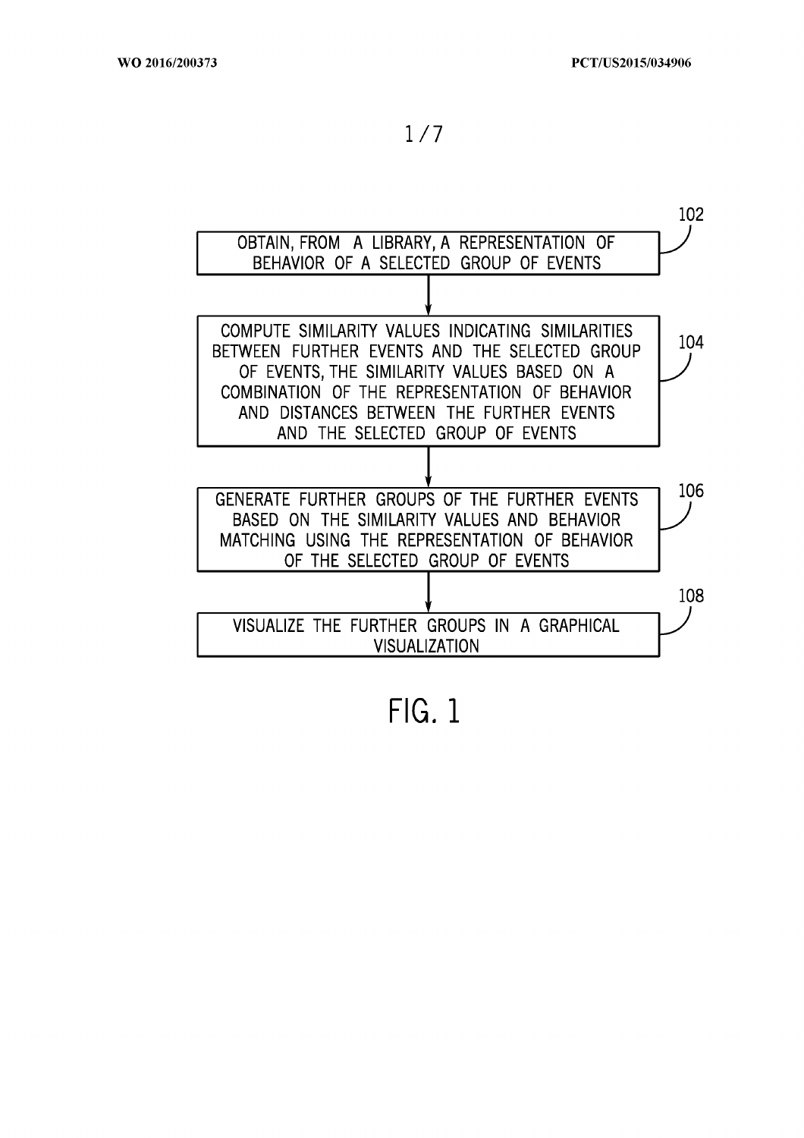

 $FIG. 1$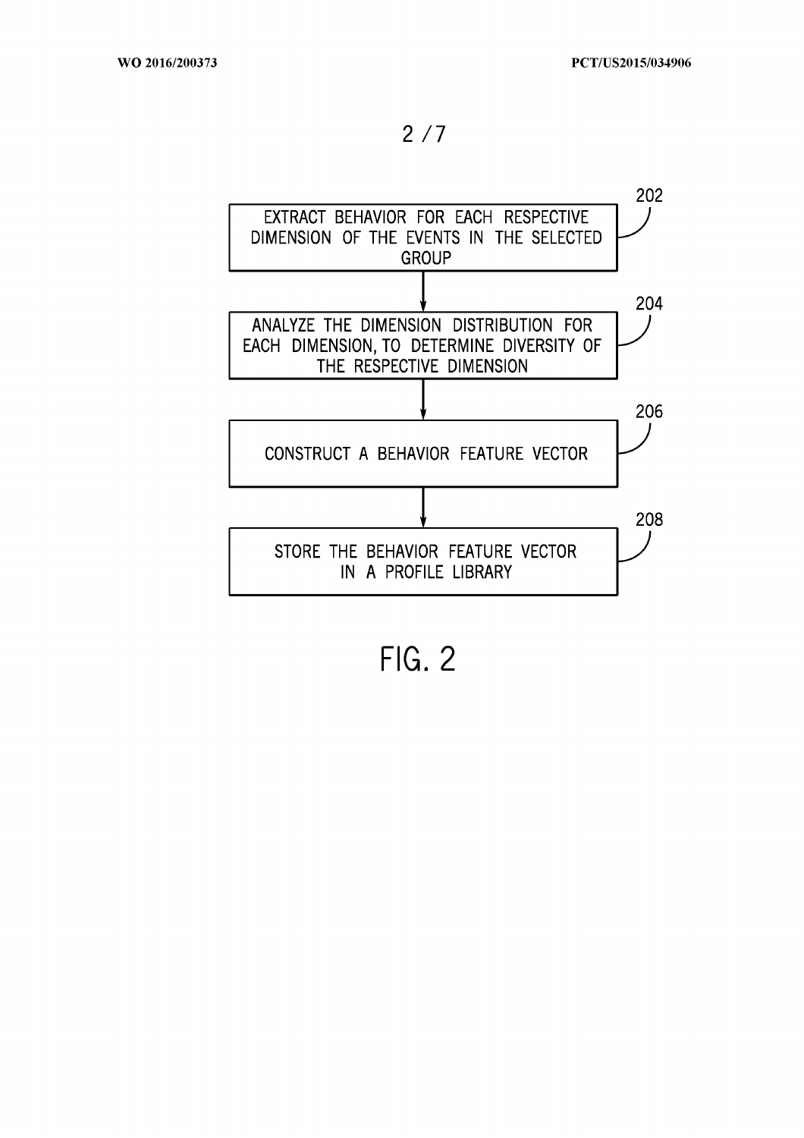$2/7$ 



**FIG. 2**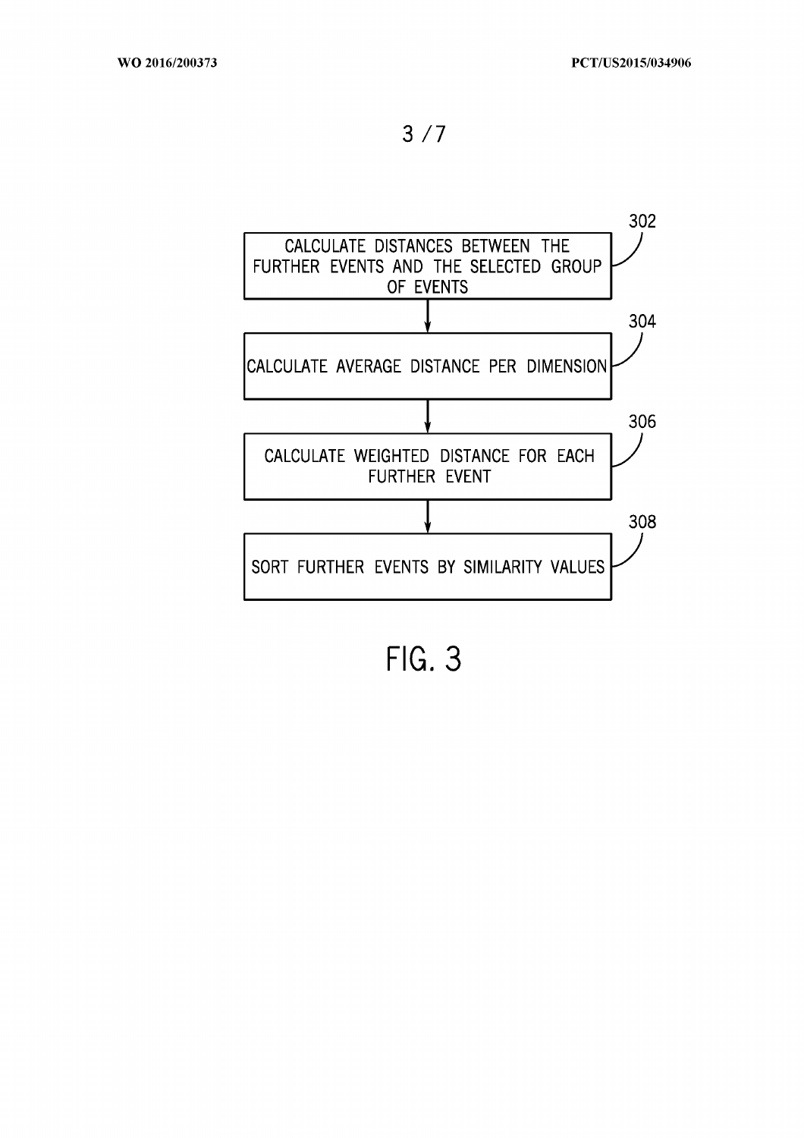

**FIG. 3**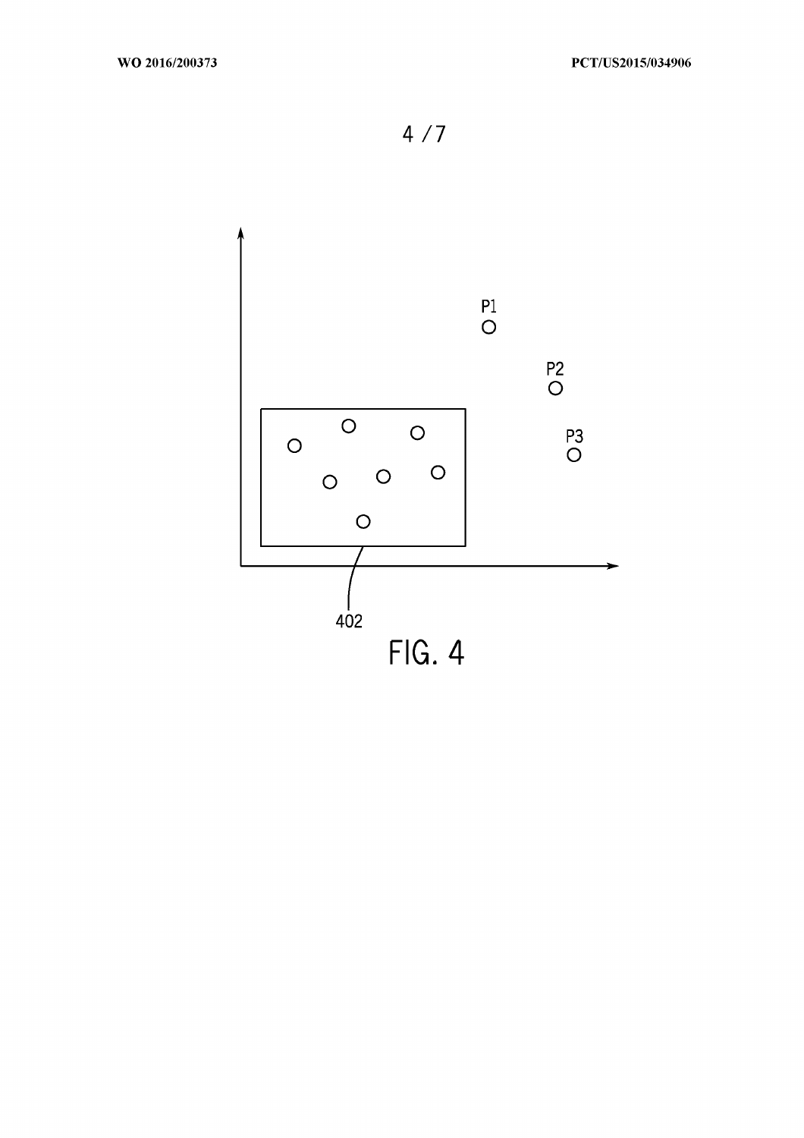$4/7$ 

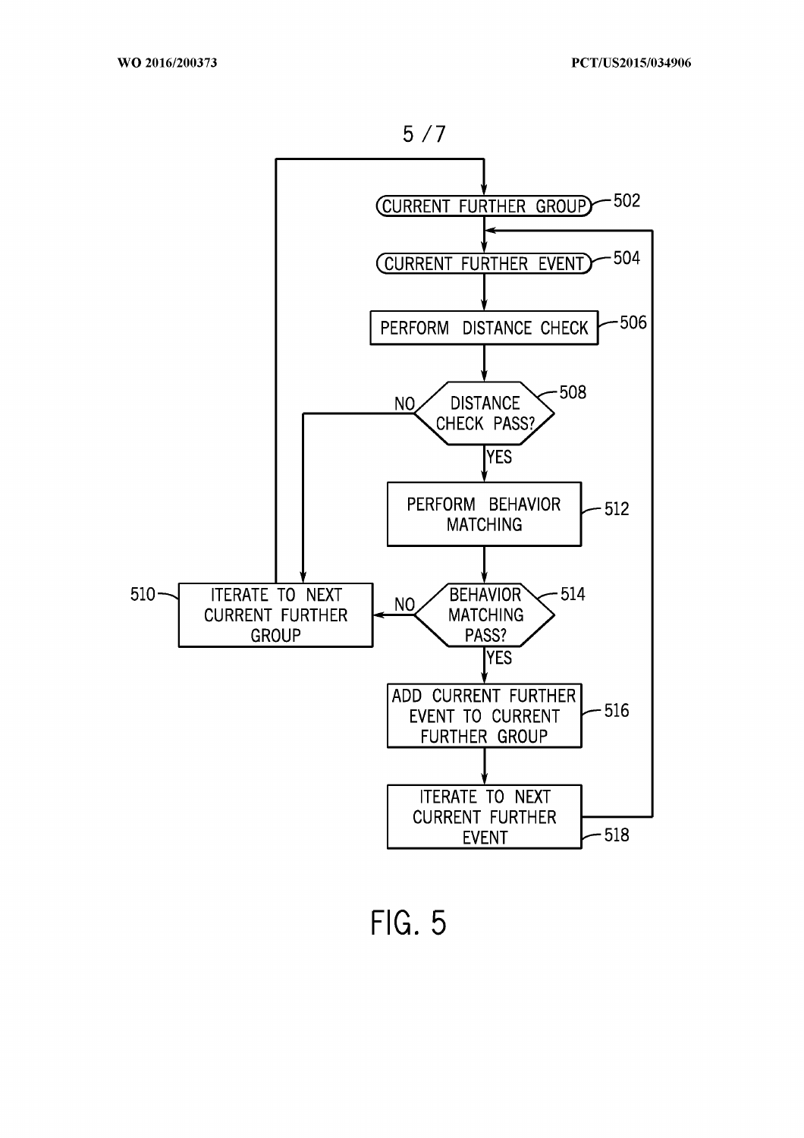

FIG. 5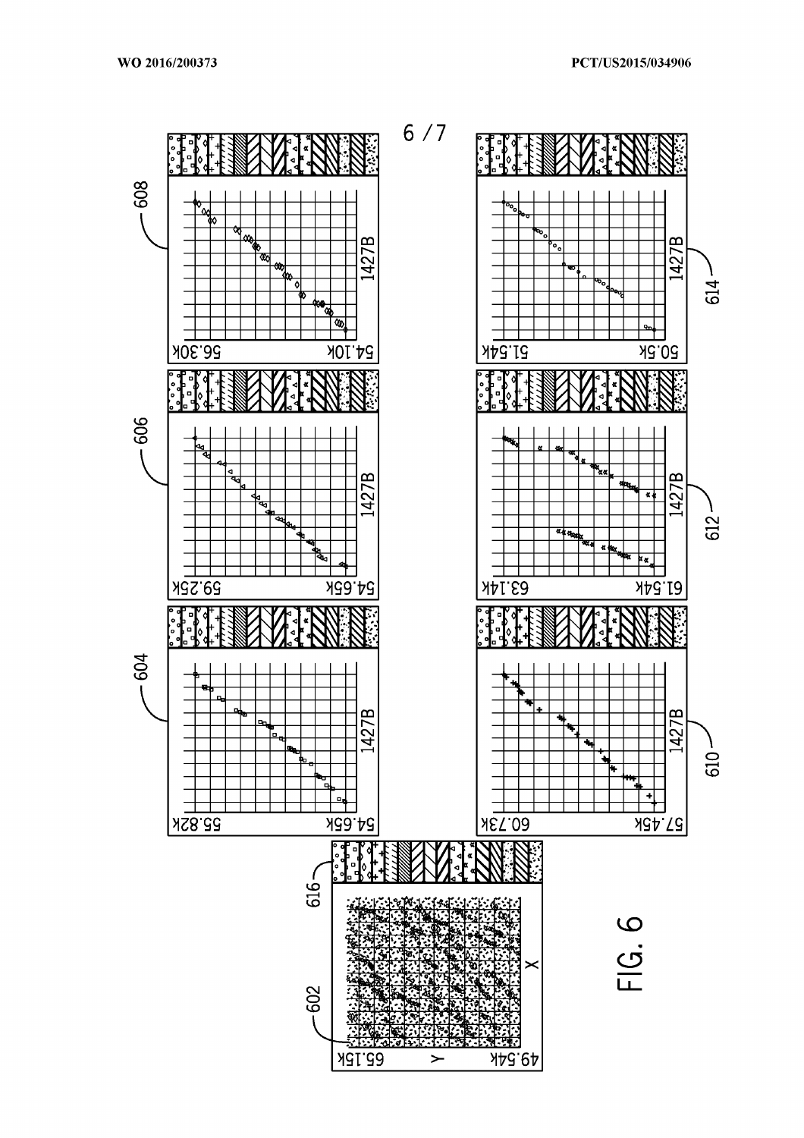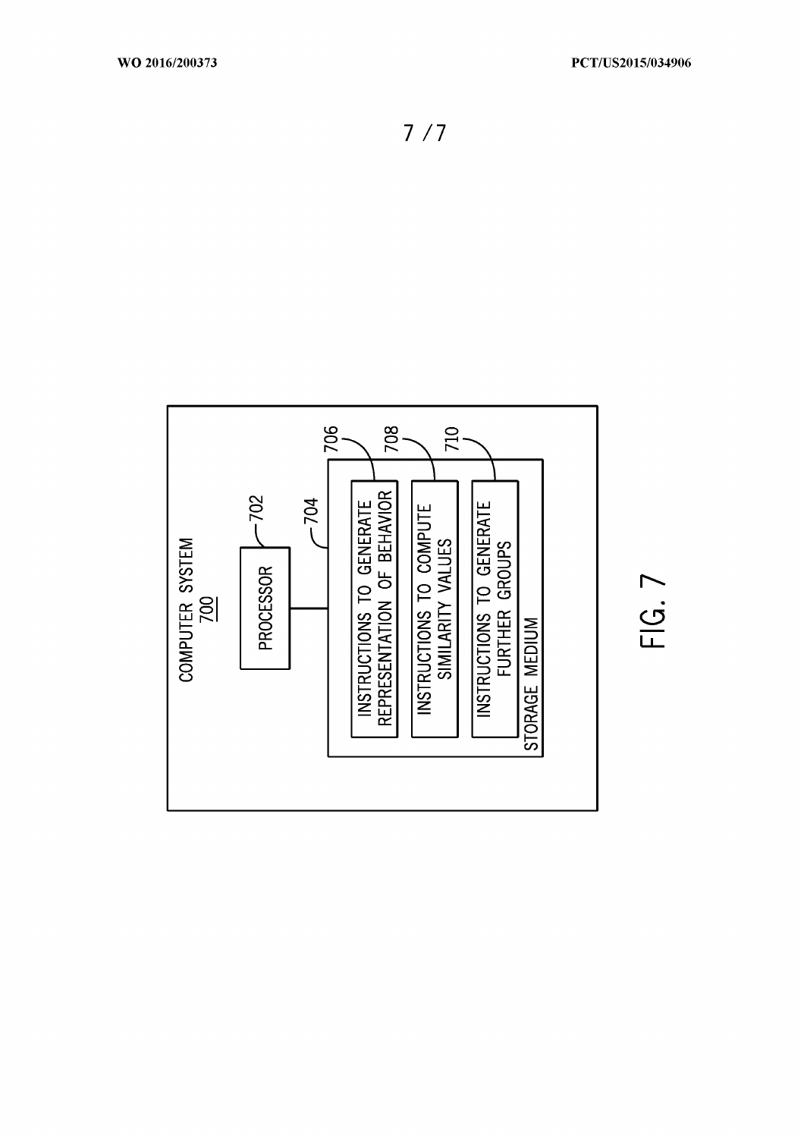$FIG. 7$ 

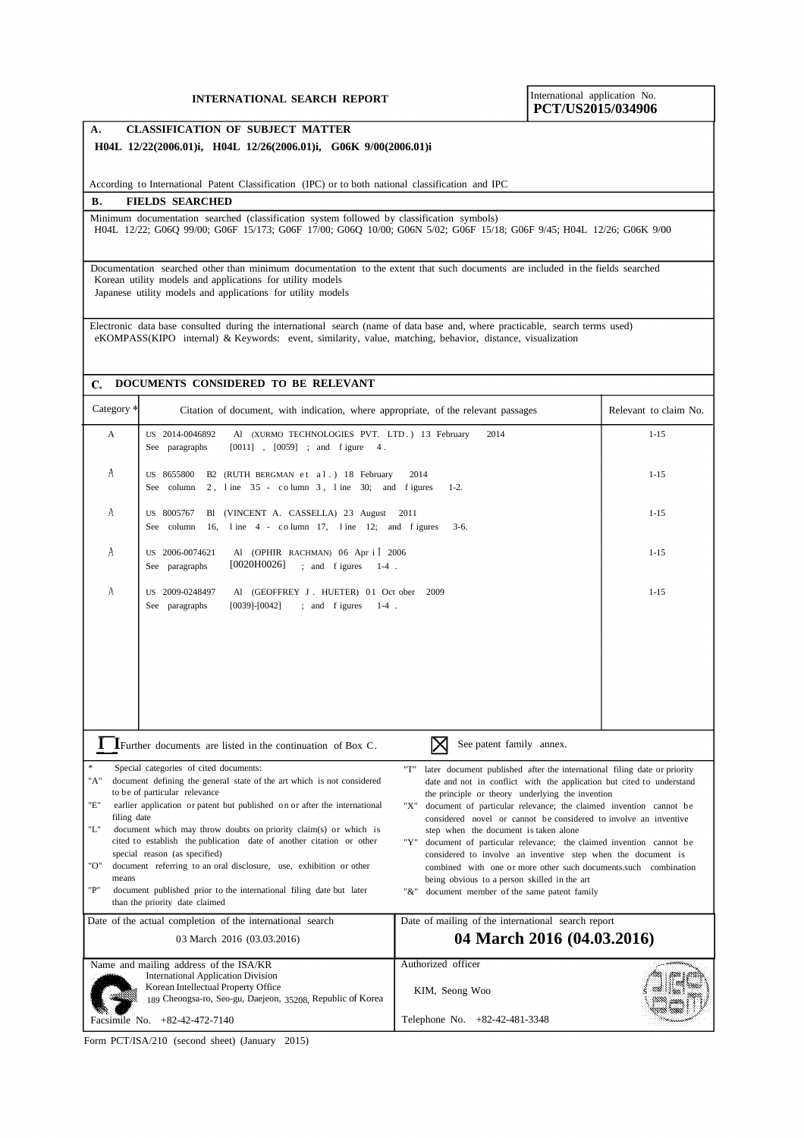## **PCT/US2015/034906**

#### **A. CLASSIFICATION OF SUBJECT MATTER H04L 12/22(2006.01)i, H04L 12/26(2006.01)i, G06K 9/00(2006.01)i**

According to International Patent Classification (IPC) or to both national classification and IPC

#### **B. FIELDS SEARCHED**

Minimum documentation searched (classification system followed by classification symbols) H04L 12/22; G06Q 99/00; G06F 15/173; G06F 17/00; G06Q 10/00; G06N 5/02; G06F 15/18; G06F 9/45; H04L 12/26; G06K 9/00

Documentation searched other than minimum documentation to the extent that such documents are included in the fields searched Korean utility models and applications for utility models Japanese utility models and applications for utility models

Electronic data base consulted during the international search (name of data base and, where practicable, search terms used) eKOMPASS(KIPO internal) & Keywords: event, similarity, value, matching, behavior, distance, visualization

#### **DOCUMENTS CONSIDERED TO BE RELEVANT**

| Category <sup>*</sup>                              | Citation of document, with indication, where appropriate, of the relevant passages                                                                                                                                                                                                                                                                                                                                                                                                                                                                                                                                                                                                                                                                                                                                                                                                                                                                                                                                                                                                                                                                                                                                                                                                                                                        | Relevant to claim No.                                                 |          |  |
|----------------------------------------------------|-------------------------------------------------------------------------------------------------------------------------------------------------------------------------------------------------------------------------------------------------------------------------------------------------------------------------------------------------------------------------------------------------------------------------------------------------------------------------------------------------------------------------------------------------------------------------------------------------------------------------------------------------------------------------------------------------------------------------------------------------------------------------------------------------------------------------------------------------------------------------------------------------------------------------------------------------------------------------------------------------------------------------------------------------------------------------------------------------------------------------------------------------------------------------------------------------------------------------------------------------------------------------------------------------------------------------------------------|-----------------------------------------------------------------------|----------|--|
| $\mathbf{A}$                                       | US 2014-0046892<br>Al (XURMO TECHNOLOGIES PVT. LTD.) 13 February<br>$[0011]$ , $[0059]$ ; and figure<br>See<br>paragraphs<br>4.                                                                                                                                                                                                                                                                                                                                                                                                                                                                                                                                                                                                                                                                                                                                                                                                                                                                                                                                                                                                                                                                                                                                                                                                           | $1 - 15$                                                              |          |  |
| A                                                  | US 8655800<br>B2 (RUTH BERGMAN et al.) 18 February<br>2, line 35 - column 3, line 30; and figures<br>See column                                                                                                                                                                                                                                                                                                                                                                                                                                                                                                                                                                                                                                                                                                                                                                                                                                                                                                                                                                                                                                                                                                                                                                                                                           | $1 - 15$                                                              |          |  |
| А                                                  | US 8005767<br>(VINCENT A. CASSELLA) 23 August<br>Bl<br>line 4 - column 17, line 12; and figures<br>See column<br>16,                                                                                                                                                                                                                                                                                                                                                                                                                                                                                                                                                                                                                                                                                                                                                                                                                                                                                                                                                                                                                                                                                                                                                                                                                      | $1 - 15$                                                              |          |  |
| A                                                  | Al (OPHIR RACHMAN) 06 Apr i 2006<br>US 2006-0074621<br>[0020H0026]<br>; and figures<br>$1-4$ .<br>See paragraphs                                                                                                                                                                                                                                                                                                                                                                                                                                                                                                                                                                                                                                                                                                                                                                                                                                                                                                                                                                                                                                                                                                                                                                                                                          | $1 - 15$                                                              |          |  |
| A                                                  | US 2009-0248497<br>Al (GEOFFREY J. HUETER) 01 Oct ober<br>; and figures<br>See paragraphs<br>$[0039] - [0042]$<br>$1-4$ .                                                                                                                                                                                                                                                                                                                                                                                                                                                                                                                                                                                                                                                                                                                                                                                                                                                                                                                                                                                                                                                                                                                                                                                                                 | 2009                                                                  | $1 - 15$ |  |
|                                                    | $\Gamma$ I Further documents are listed in the continuation of Box C.                                                                                                                                                                                                                                                                                                                                                                                                                                                                                                                                                                                                                                                                                                                                                                                                                                                                                                                                                                                                                                                                                                                                                                                                                                                                     | See patent family annex.                                              |          |  |
| $\ast$<br>"A"<br>"E"<br>"L"<br>"О"<br>means<br>"P" | Special categories of cited documents:<br>"T"<br>later document published after the international filing date or priority<br>document defining the general state of the art which is not considered<br>date and not in conflict with the application but cited to understand<br>to be of particular relevance<br>the principle or theory underlying the invention<br>earlier application or patent but published on or after the international<br>document of particular relevance; the claimed invention cannot be<br>"X"<br>filing date<br>considered novel or cannot be considered to involve an inventive<br>document which may throw doubts on priority claim(s) or which is<br>step when the document is taken alone<br>cited to establish the publication date of another citation or other<br>"Y"<br>document of particular relevance; the claimed invention cannot be<br>special reason (as specified)<br>considered to involve an inventive step when the document is<br>document referring to an oral disclosure, use, exhibition or other<br>combined with one or more other such documents.such combination<br>being obvious to a person skilled in the art<br>document published prior to the international filing date but later<br>$" \&"$<br>document member of the same patent family<br>than the priority date claimed |                                                                       |          |  |
|                                                    | Date of the actual completion of the international search                                                                                                                                                                                                                                                                                                                                                                                                                                                                                                                                                                                                                                                                                                                                                                                                                                                                                                                                                                                                                                                                                                                                                                                                                                                                                 | Date of mailing of the international search report                    |          |  |
|                                                    | 03 March 2016 (03.03.2016)                                                                                                                                                                                                                                                                                                                                                                                                                                                                                                                                                                                                                                                                                                                                                                                                                                                                                                                                                                                                                                                                                                                                                                                                                                                                                                                | 04 March 2016 (04.03.2016)                                            |          |  |
|                                                    | Name and mailing address of the ISA/KR<br><b>International Application Division</b><br>Korean Intellectual Property Office<br>189 Cheongsa-ro, Seo-gu, Daejeon, 35208, Republic of Korea<br>Facsimile No. +82-42-472-7140                                                                                                                                                                                                                                                                                                                                                                                                                                                                                                                                                                                                                                                                                                                                                                                                                                                                                                                                                                                                                                                                                                                 | Authorized officer<br>KIM, Seong Woo<br>Telephone No. +82-42-481-3348 | ann      |  |
|                                                    |                                                                                                                                                                                                                                                                                                                                                                                                                                                                                                                                                                                                                                                                                                                                                                                                                                                                                                                                                                                                                                                                                                                                                                                                                                                                                                                                           |                                                                       |          |  |

Form PCT/ISA/210 (second sheet) (January 2015)